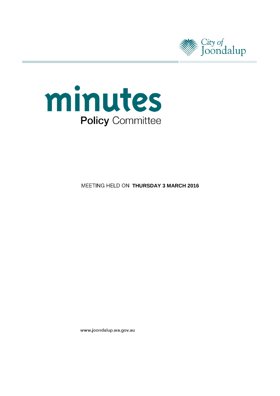



**MEETING HELD ON THURSDAY 3 MARCH 2016** 

www.joondalup.wa.gov.au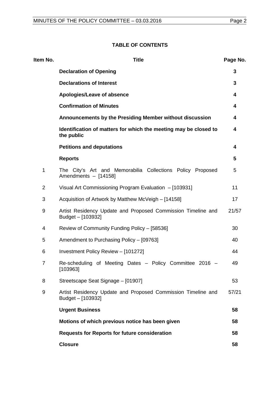# **TABLE OF CONTENTS**

| Item No.       | <b>Title</b>                                                                       | Page No. |
|----------------|------------------------------------------------------------------------------------|----------|
|                | <b>Declaration of Opening</b>                                                      | 3        |
|                | <b>Declarations of Interest</b>                                                    | 3        |
|                | Apologies/Leave of absence                                                         | 4        |
|                | <b>Confirmation of Minutes</b>                                                     | 4        |
|                | Announcements by the Presiding Member without discussion                           | 4        |
|                | Identification of matters for which the meeting may be closed to<br>the public     | 4        |
|                | <b>Petitions and deputations</b>                                                   | 4        |
|                | <b>Reports</b>                                                                     | 5        |
| 1              | The City's Art and Memorabilia Collections Policy Proposed<br>Amendments - [14158] | 5        |
| $\overline{2}$ | Visual Art Commissioning Program Evaluation - [103931]                             | 11       |
| 3              | Acquisition of Artwork by Matthew McVeigh - [14158]                                | 17       |
| 9              | Artist Residency Update and Proposed Commission Timeline and<br>Budget - [103932]  | 21/57    |
| 4              | Review of Community Funding Policy - [58536]                                       | 30       |
| 5              | Amendment to Purchasing Policy - [09763]                                           | 40       |
| 6              | Investment Policy Review - [101272]                                                | 44       |
| $\overline{7}$ | Re-scheduling of Meeting Dates - Policy Committee 2016 -<br>[103963]               | 49       |
| 8              | Streetscape Seat Signage - [01907]                                                 | 53       |
| 9              | Artist Residency Update and Proposed Commission Timeline and<br>Budget - [103932]  | 57/21    |
|                | <b>Urgent Business</b>                                                             | 58       |
|                | Motions of which previous notice has been given                                    | 58       |
|                | <b>Requests for Reports for future consideration</b>                               | 58       |
|                | <b>Closure</b>                                                                     | 58       |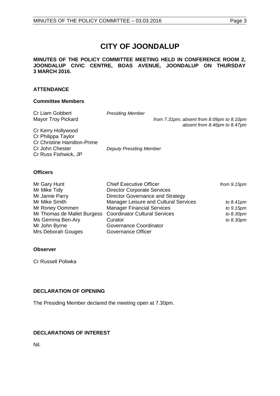# **CITY OF JOONDALUP**

**MINUTES OF THE POLICY COMMITTEE MEETING HELD IN CONFERENCE ROOM 2, JOONDALUP CIVIC CENTRE, BOAS AVENUE, JOONDALUP ON THURSDAY 3 MARCH 2016.**

# **ATTENDANCE**

## **Committee Members**

| Cr Liam Gobbert                    | <b>Presiding Member</b>        |                                                                           |
|------------------------------------|--------------------------------|---------------------------------------------------------------------------|
| <b>Mayor Troy Pickard</b>          |                                | from 7.31pm; absent from 8.09pm to 8.10pm<br>absent from 8.46pm to 8.47pm |
| Cr Kerry Hollywood                 |                                |                                                                           |
| Cr Philippa Taylor                 |                                |                                                                           |
| <b>Cr Christine Hamilton-Prime</b> |                                |                                                                           |
| Cr John Chester                    | <b>Deputy Presiding Member</b> |                                                                           |
| Cr Russ Fishwick, JP               |                                |                                                                           |
|                                    |                                |                                                                           |
|                                    |                                |                                                                           |

# **Officers**

| Mr Gary Hunt                                              | <b>Chief Executive Officer</b>               | from $9.15pm$ |
|-----------------------------------------------------------|----------------------------------------------|---------------|
| Mr Mike Tidy                                              | <b>Director Corporate Services</b>           |               |
| Mr Jamie Parry                                            | Director Governance and Strategy             |               |
| Mr Mike Smith                                             | <b>Manager Leisure and Cultural Services</b> | to $8.41$ pm  |
| Mr Roney Oommen                                           | <b>Manager Financial Services</b>            | to 9.15pm     |
| Mr Thomas de Mallet Burgess Coordinator Cultural Services |                                              | to 8.30pm     |
| Ms Gemma Ben-Ary                                          | Curator                                      | to 8.30pm     |
| Mr John Byrne                                             | Governance Coordinator                       |               |
| Mrs Deborah Gouges                                        | <b>Governance Officer</b>                    |               |

# **Observer**

Cr Russell Poliwka

# <span id="page-2-0"></span>**DECLARATION OF OPENING**

The Presiding Member declared the meeting open at 7.30pm.

# <span id="page-2-1"></span>**DECLARATIONS OF INTEREST**

Nil.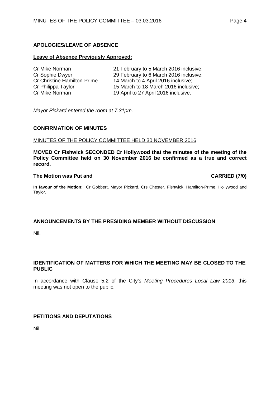# <span id="page-3-0"></span>**APOLOGIES/LEAVE OF ABSENCE**

## **Leave of Absence Previously Approved:**

| 21 February to 5 March 2016 inclusive; |
|----------------------------------------|
| 29 February to 6 March 2016 inclusive; |
| 14 March to 4 April 2016 inclusive;    |
| 15 March to 18 March 2016 inclusive;   |
| 19 April to 27 April 2016 inclusive.   |
|                                        |

*Mayor Pickard entered the room at 7.31pm.*

## <span id="page-3-1"></span>**CONFIRMATION OF MINUTES**

## MINUTES OF THE POLICY COMMITTEE HELD 30 NOVEMBER 2016

**MOVED Cr Fishwick SECONDED Cr Hollywood that the minutes of the meeting of the Policy Committee held on 30 November 2016 be confirmed as a true and correct record.**

## **The Motion was Put and CARRIED (7/0)**

**In favour of the Motion:** Cr Gobbert, Mayor Pickard, Crs Chester, Fishwick, Hamilton-Prime, Hollywood and Taylor.

# <span id="page-3-2"></span>**ANNOUNCEMENTS BY THE PRESIDING MEMBER WITHOUT DISCUSSION**

Nil.

# <span id="page-3-3"></span>**IDENTIFICATION OF MATTERS FOR WHICH THE MEETING MAY BE CLOSED TO THE PUBLIC**

In accordance with Clause 5.2 of the City's *Meeting Procedures Local Law 2013*, this meeting was not open to the public.

# <span id="page-3-4"></span>**PETITIONS AND DEPUTATIONS**

Nil.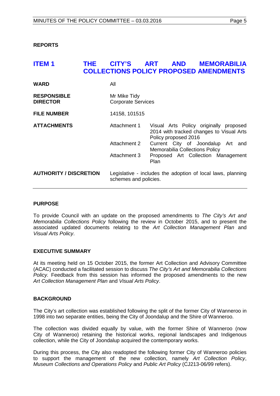<span id="page-4-0"></span>**REPORTS**

# <span id="page-4-1"></span>**ITEM 1 THE CITY'S ART AND MEMORABILIA COLLECTIONS POLICY PROPOSED AMENDMENTS**

| <b>WARD</b>                           | All                                       |                                                                                                            |
|---------------------------------------|-------------------------------------------|------------------------------------------------------------------------------------------------------------|
| <b>RESPONSIBLE</b><br><b>DIRECTOR</b> | Mr Mike Tidy<br><b>Corporate Services</b> |                                                                                                            |
| <b>FILE NUMBER</b>                    | 14158, 101515                             |                                                                                                            |
| <b>ATTACHMENTS</b>                    | Attachment 1                              | Visual Arts Policy originally proposed<br>2014 with tracked changes to Visual Arts<br>Policy proposed 2016 |
|                                       | Attachment 2                              | Current City of Joondalup Art and<br><b>Memorabilia Collections Policy</b>                                 |
|                                       | Attachment 3                              | Proposed Art Collection Management<br>Plan                                                                 |
| <b>AUTHORITY / DISCRETION</b>         | schemes and policies.                     | Legislative - includes the adoption of local laws, planning                                                |

# **PURPOSE**

To provide Council with an update on the proposed amendments to *The City's Art and Memorabilia Collections Policy* following the review in October 2015, and to present the associated updated documents relating to the *Art Collection Management Plan* and *Visual Arts Policy*.

## **EXECUTIVE SUMMARY**

At its meeting held on 15 October 2015, the former Art Collection and Advisory Committee (ACAC) conducted a facilitated session to discuss *The City's Art and Memorabilia Collections Policy.* Feedback from this session has informed the proposed amendments to the new *Art Collection Management Plan* and *Visual Arts Policy*.

## **BACKGROUND**

The City's art collection was established following the split of the former City of Wanneroo in 1998 into two separate entities, being the City of Joondalup and the Shire of Wanneroo.

The collection was divided equally by value, with the former Shire of Wanneroo (now City of Wanneroo) retaining the historical works, regional landscapes and Indigenous collection, while the City of Joondalup acquired the contemporary works.

During this process, the City also readopted the following former City of Wanneroo policies to support the management of the new collection, namely *Art Collection Policy*, *Museum Collections and Operations Policy* and *Public Art Policy* (CJ213-06/99 refers).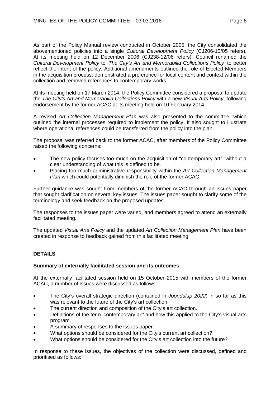As part of the Policy Manual review conducted in October 2005, the City consolidated the abovementioned policies into a single *Cultural Development Policy* (CJ206-10/05 refers). At its meeting held on 12 December 2006 (CJ238-12/06 refers), Council renamed the *Cultural Development Policy* to '*The City's Art and Memorabilia Collections Policy'* to better reflect the intent of the policy. Additional amendments outlined the role of Elected Members in the acquisition process; demonstrated a preference for local content and context within the collection and removed references to contemporary works.

At its meeting held on 17 March 2014, the Policy Committee considered a proposal to update the *The City's Art and Memorabilia Collections Policy* with a new *Visual Arts Policy*, following endorsement by the former ACAC at its meeting held on 10 February 2014.

A revised *Art Collection Management Plan* was also presented to the committee, which outlined the internal processes required to implement the policy. It also sought to illustrate where operational references could be transferred from the policy into the plan.

The proposal was referred back to the former ACAC, after members of the Policy Committee raised the following concerns:

- The new policy focuses too much on the acquisition of "contemporary art", without a clear understanding of what this is defined to be.
- Placing too much administrative responsibility within the *Art Collection Management Plan* which could potentially diminish the role of the former ACAC.

Further guidance was sought from members of the former ACAC through an issues paper that sought clarification on several key issues. The issues paper sought to clarify some of the terminology and seek feedback on the proposed updates.

The responses to the issues paper were varied, and members agreed to attend an externally facilitated meeting.

The updated *Visual Arts Policy* and the updated *Art Collection Management Plan* have been created in response to feedback gained from this facilitated meeting.

# **DETAILS**

# **Summary of externally facilitated session and its outcomes**

At the externally facilitated session held on 15 October 2015 with members of the former ACAC, a number of issues were discussed as follows:

- The City's overall strategic direction (contained in *Joondalup 2022*) in so far as this was relevant to the future of the City's art collection.
- The current direction and composition of the City's art collection.
- Definitions of the term 'contemporary art' and how this applied to the City's visual arts program.
- A summary of responses to the issues paper.
- What options should be considered for the City's current art collection?
- What options should be considered for the City's art collection into the future?

In response to these issues, the objectives of the collection were discussed, defined and prioritised as follows: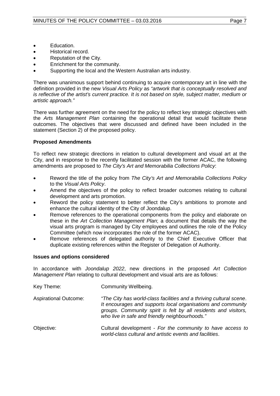- Education.
- Historical record.
- Reputation of the City.
- Enrichment for the community.
- Supporting the local and the Western Australian arts industry.

There was unanimous support behind continuing to acquire contemporary art in line with the definition provided in the new *Visual Arts Policy* as *"artwork that is conceptually resolved and is reflective of the artist's current practice. It is not based on style, subject matter, medium or artistic approach."*

There was further agreement on the need for the policy to reflect key strategic objectives with the *Arts Management Plan* containing the operational detail that would facilitate these outcomes. The objectives that were discussed and defined have been included in the statement (Section 2) of the proposed policy.

# **Proposed Amendments**

To reflect new strategic directions in relation to cultural development and visual art at the City, and in response to the recently facilitated session with the former ACAC, the following amendments are proposed to *The City's Art and Memorabilia Collections Policy*:

- Reword the title of the policy from *The City's Art and Memorabilia Collections Policy* to the *Visual Arts Policy*.
- Amend the objectives of the policy to reflect broader outcomes relating to cultural development and arts promotion.
- Reword the policy statement to better reflect the City's ambitions to promote and enhance the cultural identity of the City of Joondalup.
- Remove references to the operational components from the policy and elaborate on these in the *Art Collection Management Plan*; a document that details the way the visual arts program is managed by City employees and outlines the role of the Policy Committee (which now incorporates the role of the former ACAC).
- Remove references of delegated authority to the Chief Executive Officer that duplicate existing references within the Register of Delegation of Authority.

# **Issues and options considered**

In accordance with *Joondalup 2022*, new directions in the proposed *Art Collection Management Plan* relating to cultural development and visual arts are as follows:

| Key Theme:                   | Community Wellbeing.                                                                                                                                                                                                                                     |  |  |
|------------------------------|----------------------------------------------------------------------------------------------------------------------------------------------------------------------------------------------------------------------------------------------------------|--|--|
| <b>Aspirational Outcome:</b> | "The City has world-class facilities and a thriving cultural scene.<br>It encourages and supports local organisations and community<br>groups. Community spirit is felt by all residents and visitors,<br>who live in safe and friendly neighbourhoods." |  |  |
| Objective:                   | Cultural development - For the community to have access to<br>world-class cultural and artistic events and facilities.                                                                                                                                   |  |  |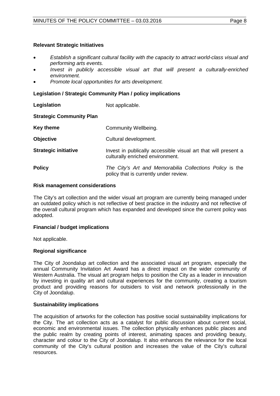# **Relevant Strategic Initiatives**

- *Establish a significant cultural facility with the capacity to attract world-class visual and performing arts events.*
- *Invest in publicly accessible visual art that will present a culturally-enriched environment.*
- *Promote local opportunities for arts development.*

# **Legislation / Strategic Community Plan / policy implications**

**Legislation** Not applicable.

# **Strategic Community Plan**

| <b>Key theme</b>            | Community Wellbeing.                                                                               |
|-----------------------------|----------------------------------------------------------------------------------------------------|
| <b>Objective</b>            | Cultural development.                                                                              |
| <b>Strategic initiative</b> | Invest in publically accessible visual art that will present a<br>culturally enriched environment. |
| <b>Policy</b>               | The City's Art and Memorabilia Collections Policy is the<br>policy that is currently under review. |

## **Risk management considerations**

The City's art collection and the wider visual art program are currently being managed under an outdated policy which is not reflective of best practice in the industry and not reflective of the overall cultural program which has expanded and developed since the current policy was adopted.

# **Financial / budget implications**

Not applicable.

# **Regional significance**

The City of Joondalup art collection and the associated visual art program, especially the annual Community Invitation Art Award has a direct impact on the wider community of Western Australia. The visual art program helps to position the City as a leader in innovation by investing in quality art and cultural experiences for the community, creating a tourism product and providing reasons for outsiders to visit and network professionally in the City of Joondalup.

# **Sustainability implications**

The acquisition of artworks for the collection has positive social sustainability implications for the City. The art collection acts as a catalyst for public discussion about current social, economic and environmental issues. The collection physically enhances public places and the public realm by creating points of interest, animating spaces and providing beauty, character and colour to the City of Joondalup. It also enhances the relevance for the local community of the City's cultural position and increases the value of the City's cultural resources.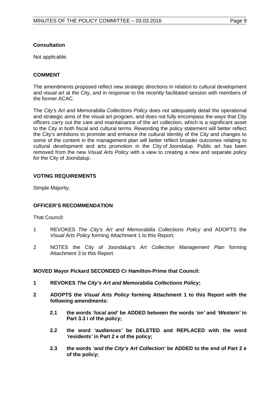# **Consultation**

Not applicable.

# **COMMENT**

The amendments proposed reflect new strategic directions in relation to cultural development and visual art at the City, and in response to the recently facilitated session with members of the former ACAC.

The *City's Art and Memorabilia Collections Policy* does not adequately detail the operational and strategic aims of the visual art program, and does not fully encompass the ways that City officers carry out the care and maintainance of the art collection, which is a significant asset to the City in both fiscal and cultural terms. Rewording the policy statement will better reflect the City's ambitions to promote and enhance the cultural identity of the City and changes to some of the content in the management plan will better reflect broader outcomes relating to cultural development and arts promotion in the City of Joondalup. Public art has been removed from the new *Visual Arts Policy* with a view to creating a new and separate policy for the City of Joondalup.

# **VOTING REQUIREMENTS**

Simple Majority.

# **OFFICER'S RECOMMENDATION**

That Council:

- 1 REVOKES *The City's Art and Memorabilia Collections Policy* and ADOPTS the *Visual Arts Policy* forming Attachment 1 to this Report;
- 2 NOTES the City of Joondalup's *Art Collection Management Plan* forming Attachment 3 to this Report.

# **MOVED Mayor Pickard SECONDED Cr Hamilton-Prime that Council:**

- **1 REVOKES** *The City's Art and Memorabilia Collections Policy***;**
- **2 ADOPTS the** *Visual Arts Policy* **forming Attachment 1 to this Report with the following amendments:**
	- **2.1 the words** *'local and'* **be ADDED between the words** *'on'* **and** *'Western'* **in Part 3.3 i of the policy;**
	- **2.2 the word** *'audiences'* **be DELETED and REPLACED with the word** *'residents'* **in Part 2 e of the policy;**
	- **2.3 the words** *'and the City's Art Collection'* **be ADDED to the end of Part 2 e of the policy;**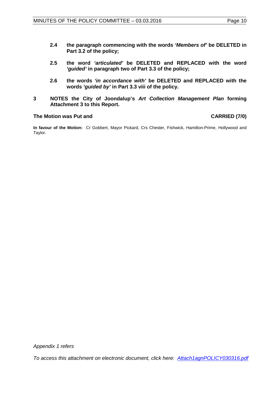- **2.4 the paragraph commencing with the words** *'Members of'* **be DELETED in Part 3.2 of the policy;**
- **2.5 the word** *'articulated'* **be DELETED and REPLACED with the word**  *'guided'* **in paragraph two of Part 3.3 of the policy;**
- **2.6 the words** *'in accordance with'* **be DELETED and REPLACED with the words** *'guided by'* **in Part 3.3 viii of the policy.**
- **3 NOTES the City of Joondalup's** *Art Collection Management Plan* **forming Attachment 3 to this Report.**

## **The Motion was Put and CARRIED (7/0)**

**In favour of the Motion:** Cr Gobbert, Mayor Pickard, Crs Chester, Fishwick, Hamilton-Prime, Hollywood and Taylor.

*Appendix 1 refers*

*To access this attachment on electronic document, click [here: Attach1agnPOLICY030316.pdf](http://www.joondalup.wa.gov.au/files/committees/POLI/2016/Attach1agnPOLICY030316.pdf)*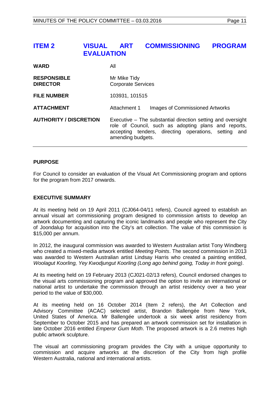<span id="page-10-0"></span>

| <b>ITEM 2</b> | <b>VISUAL ART</b> | <b>COMMISSIONING PROGRAM</b> |  |
|---------------|-------------------|------------------------------|--|
|               | <b>EVALUATION</b> |                              |  |
|               |                   |                              |  |

| <b>WARD</b>                           | All                                                                                                                                                                                              |  |
|---------------------------------------|--------------------------------------------------------------------------------------------------------------------------------------------------------------------------------------------------|--|
| <b>RESPONSIBLE</b><br><b>DIRECTOR</b> | Mr Mike Tidy<br><b>Corporate Services</b>                                                                                                                                                        |  |
| <b>FILE NUMBER</b>                    | 103931, 101515                                                                                                                                                                                   |  |
| <b>ATTACHMENT</b>                     | Images of Commissioned Artworks<br>Attachment 1                                                                                                                                                  |  |
| <b>AUTHORITY / DISCRETION</b>         | Executive – The substantial direction setting and oversight<br>role of Council, such as adopting plans and reports,<br>accepting tenders, directing operations, setting and<br>amending budgets. |  |

# **PURPOSE**

For Council to consider an evaluation of the Visual Art Commissioning program and options for the program from 2017 onwards.

## **EXECUTIVE SUMMARY**

At its meeting held on 19 April 2011 (CJ064-04/11 refers), Council agreed to establish an annual visual art commissioning program designed to commission artists to develop an artwork documenting and capturing the iconic landmarks and people who represent the City of Joondalup for acquisition into the City's art collection. The value of this commission is \$15,000 per annum.

In 2012, the inaugural commission was awarded to Western Australian artist Tony Windberg who created a mixed-media artwork entitled *Meeting Points*. The second commission in 2013 was awarded to Western Australian artist Lindsay Harris who created a painting entitled, *Woolagut Koorling, Yey Kwodjungut Koorling (Long ago behind going, Today in front going)*.

At its meeting held on 19 February 2013 (CJ021-02/13 refers), Council endorsed changes to the visual arts commissioning program and approved the option to invite an international or national artist to undertake the commission through an artist residency over a two year period to the value of \$30,000.

At its meeting held on 16 October 2014 (Item 2 refers), the Art Collection and Advisory Committee (ACAC) selected artist, Brandon Ballengée from New York, United States of America. Mr Ballengée undertook a six week artist residency from September to October 2015 and has prepared an artwork commission set for installation in late October 2016 entitled *Emperor Gum Moth*. The proposed artwork is a 2.6 metres high public artwork sculpture.

The visual art commissioning program provides the City with a unique opportunity to commission and acquire artworks at the discretion of the City from high profile Western Australia, national and international artists.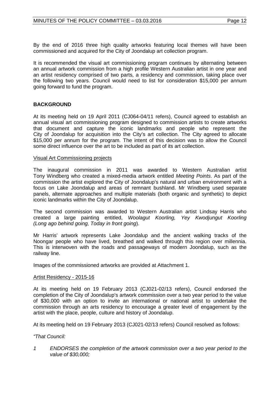By the end of 2016 three high quality artworks featuring local themes will have been commissioned and acquired for the City of Joondalup art collection program.

It is recommended the visual art commissioning program continues by alternating between an annual artwork commission from a high profile Western Australian artist in one year and an artist residency comprised of two parts, a residency and commission, taking place over the following two years. Council would need to list for consideration \$15,000 per annum going forward to fund the program.

# **BACKGROUND**

At its meeting held on 19 April 2011 (CJ064-04/11 refers), Council agreed to establish an annual visual art commissioning program designed to commission artists to create artworks that document and capture the iconic landmarks and people who represent the City of Joondalup for acquisition into the City's art collection. The City agreed to allocate \$15,000 per annum for the program. The intent of this decision was to allow the Council some direct influence over the art to be included as part of its art collection.

## Visual Art Commissioning projects

The inaugural commission in 2011 was awarded to Western Australian artist Tony Windberg who created a mixed-media artwork entitled *Meeting Points*. As part of the commission the artist explored the City of Joondalup's natural and urban environment with a focus on Lake Joondalup and areas of remnant bushland. Mr Windberg used separate panels, alternate approaches and multiple materials (both organic and synthetic) to depict iconic landmarks within the City of Joondalup.

The second commission was awarded to Western Australian artist Lindsay Harris who created a large painting entitled, *Woolagut Koorling, Yey Kwodjungut Koorling (Long ago behind going, Today in front going*).

Mr Harris' artwork represents Lake Joondalup and the ancient walking tracks of the Noongar people who have lived, breathed and walked through this region over millennia. This is interwoven with the roads and passageways of modern Joondalup, such as the railway line.

Images of the commissioned artworks are provided at Attachment 1.

## Artist Residency - 2015-16

At its meeting held on 19 February 2013 (CJ021-02/13 refers), Council endorsed the completion of the City of Joondalup's artwork commission over a two year period to the value of \$30,000 with an option to invite an international or national artist to undertake the commission through an arts residency to encourage a greater level of engagement by the artist with the place, people, culture and history of Joondalup.

At its meeting held on 19 February 2013 (CJ021-02/13 refers) Council resolved as follows:

# *"That Council:*

*1 ENDORSES the completion of the artwork commission over a two year period to the value of \$30,000;*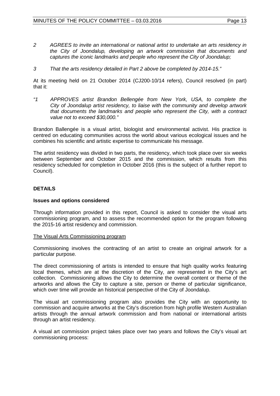- *2 AGREES to invite an international or national artist to undertake an arts residency in the City of Joondalup, developing an artwork commission that documents and captures the iconic landmarks and people who represent the City of Joondalup;*
- *3 That the arts residency detailed in Part 2 above be completed by 2014-15."*

At its meeting held on 21 October 2014 (CJ200-10/14 refers), Council resolved (in part) that it:

*"1 APPROVES artist Brandon Bellengée from New York, USA, to complete the City of Joondalup artist residency, to liaise with the community and develop artwork that documents the landmarks and people who represent the City, with a contract value not to exceed \$30,000."*

Brandon Ballengée is a visual artist, biologist and environmental activist. His practice is centred on educating communities across the world about various ecological issues and he combines his scientific and artistic expertise to communicate his message.

The artist residency was divided in two parts, the residency, which took place over six weeks between September and October 2015 and the commission, which results from this residency scheduled for completion in October 2016 (this is the subject of a further report to Council).

# **DETAILS**

## **Issues and options considered**

Through information provided in this report, Council is asked to consider the visual arts commissioning program, and to assess the recommended option for the program following the 2015-16 artist residency and commission.

## The Visual Arts Commissioning program

Commissioning involves the contracting of an artist to create an original artwork for a particular purpose.

The direct commissioning of artists is intended to ensure that high quality works featuring local themes, which are at the discretion of the City, are represented in the City's art collection. Commissioning allows the City to determine the overall content or theme of the artworks and allows the City to capture a site, person or theme of particular significance, which over time will provide an historical perspective of the City of Joondalup.

The visual art commissioning program also provides the City with an opportunity to commission and acquire artworks at the City's discretion from high profile Western Australian artists through the annual artwork commission and from national or international artists through an artist residency.

A visual art commission project takes place over two years and follows the City's visual art commissioning process: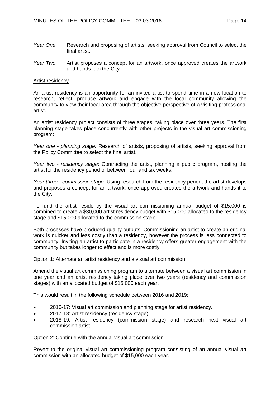- *Year One*: Research and proposing of artists, seeking approval from Council to select the final artist.
- *Year Two*: Artist proposes a concept for an artwork, once approved creates the artwork and hands it to the City.

## Artist residency

An artist residency is an opportunity for an invited artist to spend time in a new location to research, reflect, produce artwork and engage with the local community allowing the community to view their local area through the objective perspective of a visiting professional artist.

An artist residency project consists of three stages, taking place over three years. The first planning stage takes place concurrently with other projects in the visual art commissioning program:

*Year one - planning stage:* Research of artists, proposing of artists, seeking approval from the Policy Committee to select the final artist.

*Year two - residency stage*: Contracting the artist, planning a public program, hosting the artist for the residency period of between four and six weeks.

*Year three* - *commission stage*: Using research from the residency period, the artist develops and proposes a concept for an artwork, once approved creates the artwork and hands it to the City.

To fund the artist residency the visual art commissioning annual budget of \$15,000 is combined to create a \$30,000 artist residency budget with \$15,000 allocated to the residency stage and \$15,000 allocated to the commission stage.

Both processes have produced quality outputs. Commissioning an artist to create an original work is quicker and less costly than a residency, however the process is less connected to community. Inviting an artist to participate in a residency offers greater engagement with the community but takes longer to effect and is more costly.

## Option 1: Alternate an artist residency and a visual art commission

Amend the visual art commissioning program to alternate between a visual art commission in one year and an artist residency taking place over two years (residency and commission stages) with an allocated budget of \$15,000 each year.

This would result in the following schedule between 2016 and 2019:

- 2016-17: Visual art commission and planning stage for artist residency.
- 2017-18: Artist residency (residency stage).
- 2018-19: Artist residency (commission stage) and research next visual art commission artist.

## Option 2: Continue with the annual visual art commission

Revert to the original visual art commissioning program consisting of an annual visual art commission with an allocated budget of \$15,000 each year.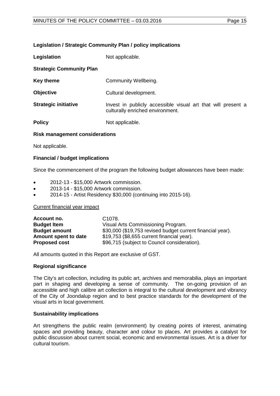## **Legislation / Strategic Community Plan / policy implications**

| Legislation                     | Not applicable.                                                                                  |  |
|---------------------------------|--------------------------------------------------------------------------------------------------|--|
| <b>Strategic Community Plan</b> |                                                                                                  |  |
| <b>Key theme</b>                | Community Wellbeing.                                                                             |  |
| <b>Objective</b>                | Cultural development.                                                                            |  |
| <b>Strategic initiative</b>     | Invest in publicly accessible visual art that will present a<br>culturally enriched environment. |  |
| <b>Policy</b>                   | Not applicable.                                                                                  |  |

## **Risk management considerations**

Not applicable.

# **Financial / budget implications**

Since the commencement of the program the following budget allowances have been made:

- 2012-13 \$15,000 Artwork commission.
- 2013-14 \$15,000 Artwork commission.
- 2014-15 Artist Residency \$30,000 (continuing into 2015-16).

## Current financial year impact

| Account no.          | C <sub>1078</sub> .                                        |
|----------------------|------------------------------------------------------------|
| <b>Budget Item</b>   | Visual Arts Commissioning Program.                         |
| <b>Budget amount</b> | \$30,000 (\$19,753 revised budget current financial year). |
| Amount spent to date | \$19,753 (\$8,655 current financial year).                 |
| <b>Proposed cost</b> | \$96,715 (subject to Council consideration).               |

All amounts quoted in this Report are exclusive of GST.

## **Regional significance**

The City's art collection, including its public art, archives and memorabilia, plays an important part in shaping and developing a sense of community. The on-going provision of an accessible and high calibre art collection is integral to the cultural development and vibrancy of the City of Joondalup region and to best practice standards for the development of the visual arts in local government.

## **Sustainability implications**

Art strengthens the public realm (environment) by creating points of interest, animating spaces and providing beauty, character and colour to places. Art provides a catalyst for public discussion about current social, economic and environmental issues. Art is a driver for cultural tourism.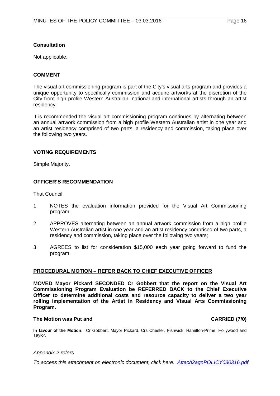# **Consultation**

Not applicable.

# **COMMENT**

The visual art commissioning program is part of the City's visual arts program and provides a unique opportunity to specifically commission and acquire artworks at the discretion of the City from high profile Western Australian, national and international artists through an artist residency.

It is recommended the visual art commissioning program continues by alternating between an annual artwork commission from a high profile Western Australian artist in one year and an artist residency comprised of two parts, a residency and commission, taking place over the following two years.

# **VOTING REQUIREMENTS**

Simple Majority.

# **OFFICER'S RECOMMENDATION**

That Council:

- 1 NOTES the evaluation information provided for the Visual Art Commissioning program;
- 2 APPROVES alternating between an annual artwork commission from a high profile Western Australian artist in one year and an artist residency comprised of two parts, a residency and commission, taking place over the following two years;
- 3 AGREES to list for consideration \$15,000 each year going forward to fund the program.

# **PROCEDURAL MOTION – REFER BACK TO CHIEF EXECUTIVE OFFICER**

**MOVED Mayor Pickard SECONDED Cr Gobbert that the report on the Visual Art Commissioning Program Evaluation be REFERRED BACK to the Chief Executive Officer to determine additional costs and resource capacity to deliver a two year rolling implementation of the Artist in Residency and Visual Arts Commissioning Program.**

# **The Motion was Put and CARRIED (7/0)**

**In favour of the Motion:** Cr Gobbert, Mayor Pickard, Crs Chester, Fishwick, Hamilton-Prime, Hollywood and Taylor.

## *Appendix 2 refers*

*To access this attachment on electronic document, cli[ck here: Attach2agnPOLICY030316.pdf](http://www.joondalup.wa.gov.au/files/committees/POLI/2016/Attach2agnPOLICY030316.pdf)*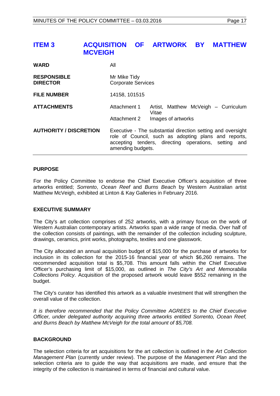# <span id="page-16-0"></span>**ITEM 3 ACQUISITION OF ARTWORK BY MATTHEW MCVEIGH**

| <b>WARD</b>                           | All                                                                                                                                                                                              |                                               |  |
|---------------------------------------|--------------------------------------------------------------------------------------------------------------------------------------------------------------------------------------------------|-----------------------------------------------|--|
| <b>RESPONSIBLE</b><br><b>DIRECTOR</b> | Mr Mike Tidy<br><b>Corporate Services</b>                                                                                                                                                        |                                               |  |
| <b>FILE NUMBER</b>                    | 14158, 101515                                                                                                                                                                                    |                                               |  |
| <b>ATTACHMENTS</b>                    | Attachment 1                                                                                                                                                                                     | Artist, Matthew McVeigh - Curriculum<br>Vitae |  |
|                                       | Attachment 2                                                                                                                                                                                     | Images of artworks                            |  |
| <b>AUTHORITY / DISCRETION</b>         | Executive - The substantial direction setting and oversight<br>role of Council, such as adopting plans and reports,<br>accepting tenders, directing operations, setting and<br>amending budgets. |                                               |  |

## **PURPOSE**

For the Policy Committee to endorse the Chief Executive Officer's acquisition of three artworks entitled; *Sorrento*, *Ocean Reef* and *Burns Beach* by Western Australian artist Matthew McVeigh, exhibited at Linton & Kay Galleries in February 2016.

# **EXECUTIVE SUMMARY**

The City's art collection comprises of 252 artworks, with a primary focus on the work of Western Australian contemporary artists. Artworks span a wide range of media. Over half of the collection consists of paintings, with the remainder of the collection including sculpture, drawings, ceramics, print works, photographs, textiles and one glasswork.

The City allocated an annual acquisition budget of \$15,000 for the purchase of artworks for inclusion in its collection for the 2015-16 financial year of which \$6,260 remains. The recommended acquisition total is \$5,708. This amount falls within the Chief Executive Officer's purchasing limit of \$15,000, as outlined in *The City's Art and Memorabilia Collections Policy*. Acquisition of the proposed artwork would leave \$552 remaining in the budget.

The City's curator has identified this artwork as a valuable investment that will strengthen the overall value of the collection.

*It is therefore recommended that the Policy Committee AGREES to the Chief Executive Officer, under delegated authority acquiring three artworks entitled Sorrento, Ocean Reef, and Burns Beach by Matthew McVeigh for the total amount of \$5,708.* 

# **BACKGROUND**

The selection criteria for art acquisitions for the art collection is outlined in the *Art Collection Management Plan* (currently under review). The purpose of the *Management Plan* and the selection criteria are to guide the way that acquisitions are made, and ensure that the integrity of the collection is maintained in terms of financial and cultural value.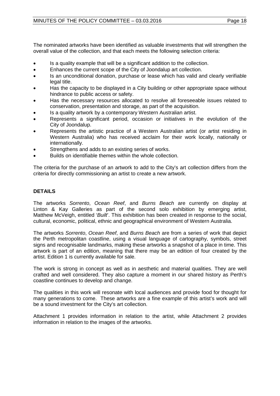The nominated artworks have been identified as valuable investments that will strengthen the overall value of the collection, and that each meets the following selection criteria:

- Is a quality example that will be a significant addition to the collection.
- Enhances the current scope of the City of Joondalup art collection.
- Is an unconditional donation, purchase or lease which has valid and clearly verifiable legal title.
- Has the capacity to be displayed in a City building or other appropriate space without hindrance to public access or safety.
- Has the necessary resources allocated to resolve all foreseeable issues related to conservation, presentation and storage, as part of the acquisition.
- Is a quality artwork by a contemporary Western Australian artist.
- Represents a significant period, occasion or initiatives in the evolution of the City of Joondalup.
- Represents the artistic practice of a Western Australian artist (or artist residing in Western Australia) who has received acclaim for their work locally, nationally or internationally.
- Strengthens and adds to an existing series of works.
- Builds on identifiable themes within the whole collection.

The criteria for the purchase of an artwork to add to the City's art collection differs from the criteria for directly commissioning an artist to create a new artwork.

# **DETAILS**

The artworks *Sorrento*, *Ocean Reef*, and *Burns Beach* are currently on display at Linton & Kay Galleries as part of the second solo exhibition by emerging artist, Matthew McVeigh, entitled '*Built*'. This exhibition has been created in response to the social, cultural, economic, political, ethnic and geographical environment of Western Australia.

The artworks *Sorrento*, *Ocean Reef*, and *Burns Beach* are from a series of work that depict the Perth metropolitan coastline, using a visual language of cartography, symbols, street signs and recognisable landmarks, making these artworks a snapshot of a place in time. This artwork is part of an edition, meaning that there may be an edition of four created by the artist. Edition 1 is currently available for sale.

The work is strong in concept as well as in aesthetic and material qualities. They are well crafted and well considered. They also capture a moment in our shared history as Perth's coastline continues to develop and change.

The qualities in this work will resonate with local audiences and provide food for thought for many generations to come. These artworks are a fine example of this artist's work and will be a sound investment for the City's art collection.

Attachment 1 provides information in relation to the artist, while Attachment 2 provides information in relation to the images of the artworks.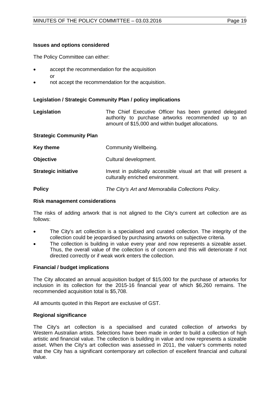## **Issues and options considered**

The Policy Committee can either:

- accept the recommendation for the acquisition or
- not accept the recommendation for the acquisition.

# **Legislation / Strategic Community Plan / policy implications**

| Legislation | The Chief Executive Officer has been granted delegated |  |
|-------------|--------------------------------------------------------|--|
|             | authority to purchase artworks recommended up to an    |  |
|             | amount of \$15,000 and within budget allocations.      |  |

| <b>Strategic Community Plan</b> |                                                                                                    |
|---------------------------------|----------------------------------------------------------------------------------------------------|
| <b>Key theme</b>                | Community Wellbeing.                                                                               |
| <b>Objective</b>                | Cultural development.                                                                              |
| <b>Strategic initiative</b>     | Invest in publically accessible visual art that will present a<br>culturally enriched environment. |
| <b>Policy</b>                   | The City's Art and Memorabilia Collections Policy.                                                 |

## **Risk management considerations**

The risks of adding artwork that is not aligned to the City's current art collection are as follows:

- The City's art collection is a specialised and curated collection. The integrity of the collection could be jeopardised by purchasing artworks on subjective criteria.
- The collection is building in value every year and now represents a sizeable asset. Thus, the overall value of the collection is of concern and this will deteriorate if not directed correctly or if weak work enters the collection.

# **Financial / budget implications**

The City allocated an annual acquisition budget of \$15,000 for the purchase of artworks for inclusion in its collection for the 2015-16 financial year of which \$6,260 remains. The recommended acquisition total is \$5,708.

All amounts quoted in this Report are exclusive of GST.

# **Regional significance**

The City's art collection is a specialised and curated collection of artworks by Western Australian artists. Selections have been made in order to build a collection of high artistic and financial value. The collection is building in value and now represents a sizeable asset. When the City's art collection was assessed in 2011, the valuer's comments noted that the City has a significant contemporary art collection of excellent financial and cultural value.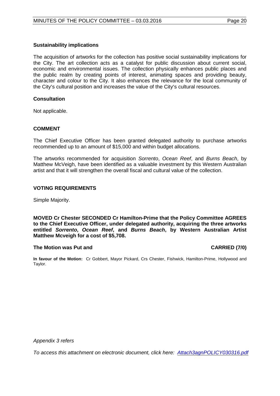## **Sustainability implications**

The acquisition of artworks for the collection has positive social sustainability implications for the City. The art collection acts as a catalyst for public discussion about current social, economic and environmental issues. The collection physically enhances public places and the public realm by creating points of interest, animating spaces and providing beauty, character and colour to the City. It also enhances the relevance for the local community of the City's cultural position and increases the value of the City's cultural resources.

## **Consultation**

Not applicable.

## **COMMENT**

The Chief Executive Officer has been granted delegated authority to purchase artworks recommended up to an amount of \$15,000 and within budget allocations.

The artworks recommended for acquisition *Sorrento*, *Ocean Reef*, and *Burns Beach*, by Matthew McVeigh, have been identified as a valuable investment by this Western Australian artist and that it will strengthen the overall fiscal and cultural value of the collection.

## **VOTING REQUIREMENTS**

Simple Majority.

**MOVED Cr Chester SECONDED Cr Hamilton-Prime that the Policy Committee AGREES to the Chief Executive Officer, under delegated authority, acquiring the three artworks entitled** *Sorrento***,** *Ocean Reef***, and** *Burns Beach***, by Western Australian Artist Matthew Mcveigh for a cost of \$5,708.**

## **The Motion was Put and CARRIED (7/0)**

**In favour of the Motion:** Cr Gobbert, Mayor Pickard, Crs Chester, Fishwick, Hamilton-Prime, Hollywood and Taylor.

*Appendix 3 refers*

*To access this attachment on electronic document, cli[ck here: Attach3agnPOLICY030316.pdf](http://www.joondalup.wa.gov.au/files/committees/POLI/2016/Attach3agnPOLICY030316.pdf)*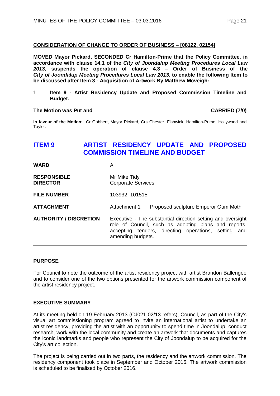# **CONSIDERATION OF CHANGE TO ORDER OF BUSINESS – [08122, 02154]**

**MOVED Mayor Pickard, SECONDED Cr Hamilton-Prime that the Policy Committee, in accordance with clause 14.1 of the** *City of Joondalup Meeting Procedures Local Law 2013***, suspends the operation of clause 4.3 – Order of Business of the**  *City of Joondalup Meeting Procedures Local Law 2013***, to enable the following Item to be discussed after Item 3 - Acquisition of Artwork By Matthew Mcveigh:** 

**1 Item 9 - Artist Residency Update and Proposed Commission Timeline and Budget.**

## **The Motion was Put and CARRIED (7/0)**

**In favour of the Motion:** Cr Gobbert, Mayor Pickard, Crs Chester, Fishwick, Hamilton-Prime, Hollywood and Taylor.

# <span id="page-20-0"></span>**ITEM 9 ARTIST RESIDENCY UPDATE AND PROPOSED COMMISSION TIMELINE AND BUDGET**

| WARD                                  | All                                                                                                                                                                                                 |
|---------------------------------------|-----------------------------------------------------------------------------------------------------------------------------------------------------------------------------------------------------|
| <b>RESPONSIBLE</b><br><b>DIRECTOR</b> | Mr Mike Tidy<br><b>Corporate Services</b>                                                                                                                                                           |
| <b>FILE NUMBER</b>                    | 103932, 101515                                                                                                                                                                                      |
| ATTACHMENT                            | Attachment 1<br>Proposed sculpture Emperor Gum Moth                                                                                                                                                 |
| <b>AUTHORITY / DISCRETION</b>         | Executive - The substantial direction setting and oversight<br>role of Council, such as adopting plans and reports,<br>accepting tenders, directing operations, setting<br>and<br>amending budgets. |

# **PURPOSE**

For Council to note the outcome of the artist residency project with artist Brandon Ballengée and to consider one of the two options presented for the artwork commission component of the artist residency project.

# **EXECUTIVE SUMMARY**

At its meeting held on 19 February 2013 (CJ021-02/13 refers), Council, as part of the City's visual art commissioning program agreed to invite an international artist to undertake an artist residency, providing the artist with an opportunity to spend time in Joondalup, conduct research, work with the local community and create an artwork that documents and captures the iconic landmarks and people who represent the City of Joondalup to be acquired for the City's art collection.

The project is being carried out in two parts, the residency and the artwork commission. The residency component took place in September and October 2015. The artwork commission is scheduled to be finalised by October 2016.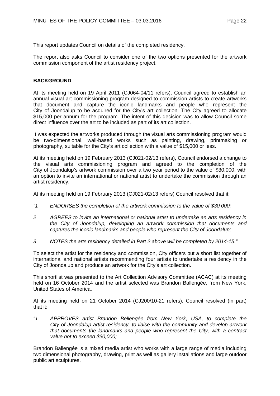This report updates Council on details of the completed residency.

The report also asks Council to consider one of the two options presented for the artwork commission component of the artist residency project.

# **BACKGROUND**

At its meeting held on 19 April 2011 (CJ064-04/11 refers), Council agreed to establish an annual visual art commissioning program designed to commission artists to create artworks that document and capture the iconic landmarks and people who represent the City of Joondalup to be acquired for the City's art collection. The City agreed to allocate \$15,000 per annum for the program. The intent of this decision was to allow Council some direct influence over the art to be included as part of its art collection.

It was expected the artworks produced through the visual arts commissioning program would be two-dimensional, wall-based works such as painting, drawing, printmaking or photography, suitable for the City's art collection with a value of \$15,000 or less.

At its meeting held on 19 February 2013 (CJ021-02/13 refers), Council endorsed a change to the visual arts commissioning program and agreed to the completion of the City of Joondalup's artwork commission over a two year period to the value of \$30,000, with an option to invite an international or national artist to undertake the commission through an artist residency.

At its meeting held on 19 February 2013 (CJ021-02/13 refers) Council resolved that it:

- *"1 ENDORSES the completion of the artwork commission to the value of \$30,000;*
- *2 AGREES to invite an international or national artist to undertake an arts residency in the City of Joondalup, developing an artwork commission that documents and captures the iconic landmarks and people who represent the City of Joondalup;*
- *3 NOTES the arts residency detailed in Part 2 above will be completed by 2014-15."*

To select the artist for the residency and commission, City officers put a short list together of international and national artists recommending four artists to undertake a residency in the City of Joondalup and produce an artwork for the City's art collection.

This shortlist was presented to the Art Collection Advisory Committee (ACAC) at its meeting held on 16 October 2014 and the artist selected was Brandon Ballengée, from New York, United States of America.

At its meeting held on 21 October 2014 (CJ200/10-21 refers), Council resolved (in part) that it:

*"1 APPROVES artist Brandon Bellengée from New York, USA, to complete the City of Joondalup artist residency, to liaise with the community and develop artwork that documents the landmarks and people who represent the City, with a contract value not to exceed \$30,000;* 

Brandon Ballengée is a mixed media artist who works with a large range of media including two dimensional photography, drawing, print as well as gallery installations and large outdoor public art sculptures.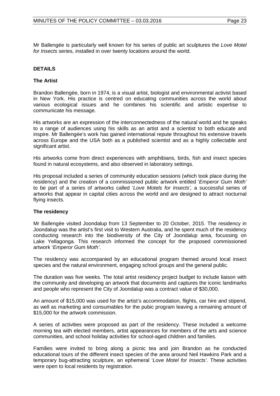Mr Ballengée is particularly well known for his series of public art sculptures the *Love Motel for Insects* series, installed in over twenty locations around the world.

# **DETAILS**

# **The Artist**

Brandon Ballengée, born in 1974, is a visual artist, biologist and environmental activist based in New York. His practice is centred on educating communities across the world about various ecological issues and he combines his scientific and artistic expertise to communicate his message.

His artworks are an expression of the interconnectedness of the natural world and he speaks to a range of audiences using his skills as an artist and a scientist to both educate and inspire. Mr Ballengée's work has gained international repute throughout his extensive travels across Europe and the USA both as a published scientist and as a highly collectable and significant artist.

His artworks come from direct experiences with amphibians, birds, fish and insect species found in natural ecosystems, and also observed in laboratory settings.

His proposal included a series of community education sessions (which took place during the residency) and the creation of a commissioned public artwork entitled '*Emperor Gum Moth'* to be part of a series of artworks called '*Love Motels for Insects',* a successful series of artworks that appear in capital cities across the world and are designed to attract nocturnal flying insects.

## **The residency**

Mr Ballengée visited Joondalup from 13 September to 20 October, 2015. The residency in Joondalup was the artist's first visit to Western Australia, and he spent much of the residency conducting research into the biodiversity of the City of Joondalup area, focussing on Lake Yellagonga. This research informed the concept for the proposed commissioned artwork '*Emperor Gum Moth'*.

The residency was accompanied by an educational program themed around local insect species and the natural environment, engaging school groups and the general public.

The duration was five weeks. The total artist residency project budget to include liaison with the community and developing an artwork that documents and captures the iconic landmarks and people who represent the City of Joondalup was a contract value of \$30,000.

An amount of \$15,000 was used for the artist's accommodation, flights, car hire and stipend, as well as marketing and consumables for the pubic program leaving a remaining amount of \$15,000 for the artwork commission.

A series of activities were proposed as part of the residency. These included a welcome morning tea with elected members, artist appearances for members of the arts and science communities, and school holiday activities for school-aged children and families.

Families were invited to bring along a picnic tea and join Brandon as he conducted educational tours of the different insect species of the area around Neil Hawkins Park and a temporary bug-attracting sculpture, an ephemeral '*Love Motel for Insects'*. These activities were open to local residents by registration.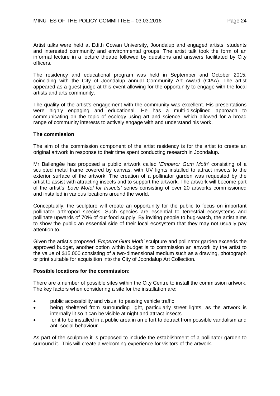Artist talks were held at Edith Cowan University, Joondalup and engaged artists, students and interested community and environmental groups. The artist talk took the form of an informal lecture in a lecture theatre followed by questions and answers facilitated by City officers.

The residency and educational program was held in September and October 2015, coinciding with the City of Joondalup annual Community Art Award (CIAA). The artist appeared as a guest judge at this event allowing for the opportunity to engage with the local artists and arts community.

The quality of the artist's engagement with the community was excellent. His presentations were highly engaging and educational. He has a multi-disciplined approach to communicating on the topic of ecology using art and science, which allowed for a broad range of community interests to actively engage with and understand his work.

# **The commission**

The aim of the commission component of the artist residency is for the artist to create an original artwork in response to their time spent conducting research in Joondalup.

Mr Ballengée has proposed a public artwork called '*Emperor Gum Moth'* consisting of a sculpted metal frame covered by canvas, with UV lights installed to attract insects to the exterior surface of the artwork. The creation of a pollinator garden was requested by the artist to assist with attracting insects and to support the artwork. The artwork will become part of the artist's '*Love Motel for Insects'* series consisting of over 20 artworks commissioned and installed in various locations around the world.

Conceptually, the sculpture will create an opportunity for the public to focus on important pollinator arthropod species. Such species are essential to terrestrial ecosystems and pollinate upwards of 70% of our food supply. By inviting people to bug-watch, the artist aims to show the public an essential side of their local ecosystem that they may not usually pay attention to.

Given the artist's proposed '*Emperor Gum Moth'* sculpture and pollinator garden exceeds the approved budget, another option within budget is to commission an artwork by the artist to the value of \$15,000 consisting of a two-dimensional medium such as a drawing, photograph or print suitable for acquisition into the City of Joondalup Art Collection.

# **Possible locations for the commission:**

There are a number of possible sites within the City Centre to install the commission artwork. The key factors when considering a site for the installation are:

- public accessibility and visual to passing vehicle traffic
- being sheltered from surrounding light, particularly street lights, as the artwork is internally lit so it can be visible at night and attract insects
- for it to be installed in a public area in an effort to detract from possible vandalism and anti-social behaviour.

As part of the sculpture it is proposed to include the establishment of a pollinator garden to surround it. This will create a welcoming experience for visitors of the artwork.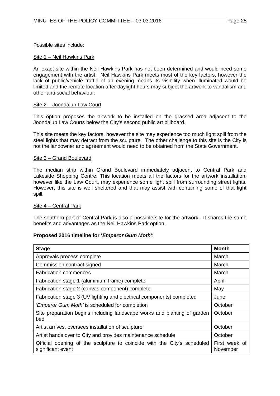Possible sites include:

## Site 1 – Neil Hawkins Park

An exact site within the Neil Hawkins Park has not been determined and would need some engagement with the artist. Neil Hawkins Park meets most of the key factors, however the lack of public/vehicle traffic of an evening means its visibility when illuminated would be limited and the remote location after daylight hours may subject the artwork to vandalism and other anti-social behaviour.

## Site 2 – Joondalup Law Court

This option proposes the artwork to be installed on the grassed area adjacent to the Joondalup Law Courts below the City's second public art billboard.

This site meets the key factors, however the site may experience too much light spill from the steel lights that may detract from the sculpture. The other challenge to this site is the City is not the landowner and agreement would need to be obtained from the State Government.

## Site 3 – Grand Boulevard

The median strip within Grand Boulevard immediately adjacent to Central Park and Lakeside Shopping Centre. This location meets all the factors for the artwork installation, however like the Law Court, may experience some light spill from surrounding street lights. However, this site is well sheltered and that may assist with containing some of that light spill.

# Site 4 – Central Park

The southern part of Central Park is also a possible site for the artwork. It shares the same benefits and advantages as the Neil Hawkins Park option.

# **Proposed 2016 timeline for '***Emperor Gum Moth'*:

| <b>Stage</b>                                                                                 | <b>Month</b>              |
|----------------------------------------------------------------------------------------------|---------------------------|
| Approvals process complete                                                                   | March                     |
| Commission contract signed                                                                   | March                     |
| <b>Fabrication commences</b>                                                                 | March                     |
| Fabrication stage 1 (aluminium frame) complete                                               | April                     |
| Fabrication stage 2 (canvas component) complete                                              | May                       |
| Fabrication stage 3 (UV lighting and electrical components) completed                        | June                      |
| 'Emperor Gum Moth' is scheduled for completion                                               | October                   |
| Site preparation begins including landscape works and planting of garden<br>bed              | October                   |
| Artist arrives, oversees installation of sculpture                                           | October                   |
| Artist hands over to City and provides maintenance schedule                                  | October                   |
| Official opening of the sculpture to coincide with the City's scheduled<br>significant event | First week of<br>November |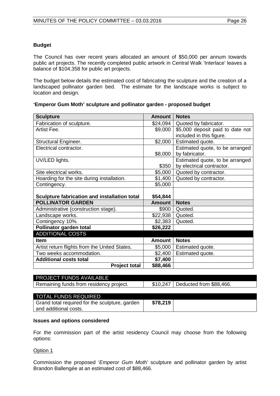# **Budget**

The Council has over recent years allocated an amount of \$50,000 per annum towards public art projects. The recently completed public artwork in Central Walk 'Interlace' leaves a balance of \$104,358 for public art projects.

The budget below details the estimated cost of fabricating the sculpture and the creation of a landscaped pollinator garden bed. The estimate for the landscape works is subject to location and design.

# **'Emperor Gum Moth' sculpture and pollinator garden - proposed budget**

| <b>Sculpture</b>                              | Amount             | <b>Notes</b>                     |
|-----------------------------------------------|--------------------|----------------------------------|
| Fabrication of sculpture.                     |                    | \$24,094   Quoted by fabricator. |
| Artist Fee.                                   | \$9,000            | \$5,000 deposit paid to date not |
|                                               |                    | included in this figure.         |
| <b>Structural Engineer.</b>                   | \$2,000            | Estimated quote.                 |
| Electrical contractor.                        |                    | Estimated quote, to be arranged  |
|                                               | \$8,000            | by fabricator.                   |
| UV/LED lights.                                |                    | Estimated quote, to be arranged  |
|                                               | \$350              | by electrical contractor.        |
| Site electrical works.                        | \$5,000            | Quoted by contractor.            |
| Hoarding for the site during installation.    | \$1,400            | Quoted by contractor.            |
| Contingency.                                  | \$5,000            |                                  |
|                                               |                    |                                  |
| Sculpture fabrication and installation total  | \$54,844           |                                  |
| <b>POLLINATOR GARDEN</b>                      | Amount             | <b>Notes</b>                     |
| Administrative (construction stage).          | \$900              | Quoted.                          |
| Landscape works.                              | \$22,938   Quoted. |                                  |
| Contingency 10%.                              | \$2,383            | Quoted.                          |
| Pollinator garden total                       | \$26,222           |                                  |
| <b>ADDITIONAL COSTS</b>                       |                    |                                  |
| <b>Item</b>                                   | Amount             | <b>Notes</b>                     |
| Artist return flights from the United States. | \$5,000            | Estimated quote.                 |
| Two weeks accommodation.                      | \$2,400            | Estimated quote.                 |
| <b>Additional costs total</b>                 | \$7,400            |                                  |
| <b>Project total</b>                          | \$88,466           |                                  |

# PROJECT FUNDS AVAILABLE Remaining funds from residency project.  $\vert$  \$10,247 Deducted from \$88,466.

| <b>TOTAL FUNDS REQUIRED</b>                    |          |  |
|------------------------------------------------|----------|--|
| Grand total required for the sculpture, garden | \$78,219 |  |
| and additional costs.                          |          |  |

# **Issues and options considered**

For the commission part of the artist residency Council may choose from the following options:

Option 1

Commission the proposed '*Emperor Gum Moth'* sculpture and pollinator garden by artist Brandon Ballengée at an estimated cost of \$88,466.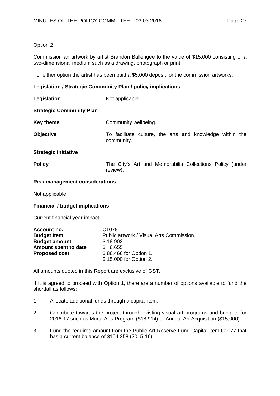Commission an artwork by artist Brandon Ballengée to the value of \$15,000 consisting of a two-dimensional medium such as a drawing, photograph or print.

For either option the artist has been paid a \$5,000 deposit for the commission artworks.

# **Legislation / Strategic Community Plan / policy implications**

| Legislation                     | Not applicable.                                                        |
|---------------------------------|------------------------------------------------------------------------|
| <b>Strategic Community Plan</b> |                                                                        |
| <b>Key theme</b>                | Community wellbeing.                                                   |
| <b>Objective</b>                | To facilitate culture, the arts and knowledge within the<br>community. |
| <b>Strategic initiative</b>     |                                                                        |
| <b>Policy</b>                   | The City's Art and Memorabilia Collections Policy (under<br>review).   |
| ---                             |                                                                        |

## **Risk management considerations**

Not applicable.

**Financial / budget implications**

Current financial year impact

| Account no.          | C <sub>1078</sub> .                      |
|----------------------|------------------------------------------|
| <b>Budget Item</b>   | Public artwork / Visual Arts Commission. |
| <b>Budget amount</b> | \$18,902                                 |
| Amount spent to date | \$8,655                                  |
| <b>Proposed cost</b> | \$88,466 for Option 1.                   |
|                      | \$15,000 for Option 2.                   |

All amounts quoted in this Report are exclusive of GST.

If it is agreed to proceed with Option 1, there are a number of options available to fund the shortfall as follows:

- 1 Allocate additional funds through a capital item.
- 2 Contribute towards the project through existing visual art programs and budgets for 2016-17 such as Mural Arts Program (\$18,914) or Annual Art Acquisition (\$15,000).
- 3 Fund the required amount from the Public Art Reserve Fund Capital Item C1077 that has a current balance of \$104,358 (2015-16).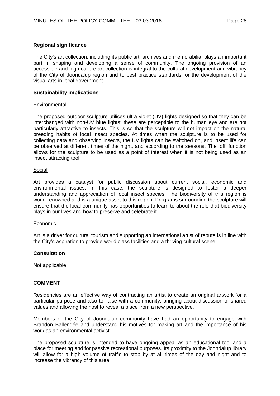## **Regional significance**

The City's art collection, including its public art, archives and memorabilia, plays an important part in shaping and developing a sense of community. The ongoing provision of an accessible and high calibre art collection is integral to the cultural development and vibrancy of the City of Joondalup region and to best practice standards for the development of the visual arts in local government.

## **Sustainability implications**

## **Environmental**

The proposed outdoor sculpture utilises ultra-violet (UV) lights designed so that they can be interchanged with non-UV blue lights; these are perceptible to the human eye and are not particularly attractive to insects. This is so that the sculpture will not impact on the natural breeding habits of local insect species. At times when the sculpture is to be used for collecting data and observing insects, the UV lights can be switched on, and insect life can be observed at different times of the night, and according to the seasons. The 'off' function allows for the sculpture to be used as a point of interest when it is not being used as an insect attracting tool.

## Social

Art provides a catalyst for public discussion about current social, economic and environmental issues. In this case, the sculpture is designed to foster a deeper understanding and appreciation of local insect species. The biodiversity of this region is world-renowned and is a unique asset to this region. Programs surrounding the sculpture will ensure that the local community has opportunities to learn to about the role that biodiversity plays in our lives and how to preserve and celebrate it.

## **Economic**

Art is a driver for cultural tourism and supporting an international artist of repute is in line with the City's aspiration to provide world class facilities and a thriving cultural scene.

# **Consultation**

Not applicable.

# **COMMENT**

Residencies are an effective way of contracting an artist to create an original artwork for a particular purpose and also to liaise with a community, bringing about discussion of shared values and allowing the host to reveal a place from a new perspective.

Members of the City of Joondalup community have had an opportunity to engage with Brandon Ballengée and understand his motives for making art and the importance of his work as an environmental activist.

The proposed sculpture is intended to have ongoing appeal as an educational tool and a place for meeting and for passive recreational purposes. Its proximity to the Joondalup library will allow for a high volume of traffic to stop by at all times of the day and night and to increase the vibrancy of this area.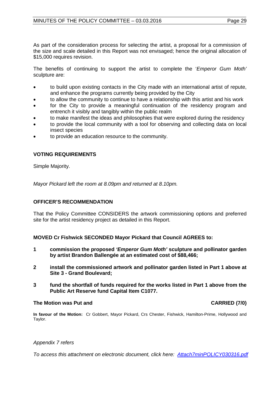As part of the consideration process for selecting the artist, a proposal for a commission of the size and scale detailed in this Report was not envisaged; hence the original allocation of \$15,000 requires revision.

The benefits of continuing to support the artist to complete the '*Emperor Gum Moth'* sculpture are:

- to build upon existing contacts in the City made with an international artist of repute, and enhance the programs currently being provided by the City
- to allow the community to continue to have a relationship with this artist and his work
- for the City to provide a meaningful continuation of the residency program and entrench it visibly and tangibly within the public realm
- to make manifest the ideas and philosophies that were explored during the residency
- to provide the local community with a tool for observing and collecting data on local insect species
- to provide an education resource to the community.

# **VOTING REQUIREMENTS**

Simple Majority.

*Mayor Pickard left the room at 8.09pm and returned at 8.10pm.* 

# **OFFICER'S RECOMMENDATION**

That the Policy Committee CONSIDERS the artwork commissioning options and preferred site for the artist residency project as detailed in this Report.

**MOVED Cr Fishwick SECONDED Mayor Pickard that Council AGREES to:**

- **1 commission the proposed** *'Emperor Gum Moth'* **sculpture and pollinator garden by artist Brandon Ballengée at an estimated cost of \$88,466;**
- **2 install the commissioned artwork and pollinator garden listed in Part 1 above at Site 3 - Grand Boulevard;**
- **3 fund the shortfall of funds required for the works listed in Part 1 above from the Public Art Reserve fund Capital Item C1077.**

# **The Motion was Put and CARRIED (7/0)**

**In favour of the Motion:** Cr Gobbert, Mayor Pickard, Crs Chester, Fishwick, Hamilton-Prime, Hollywood and Taylor.

# *Appendix 7 refers*

*To access this attachment on electronic document, [click here: Attach7minPOLICY030316.pdf](http://www.joondalup.wa.gov.au/files/committees/POLI/2016/Attach7minPOLICY030316.pdf)*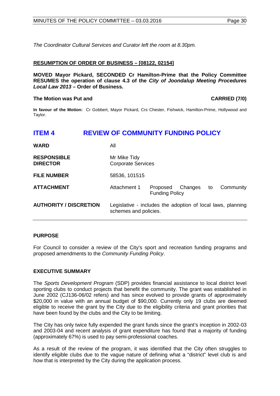*The Coordinator Cultural Services and Curator left the room at 8.30pm.*

## **RESUMPTION OF ORDER OF BUSINESS – [08122, 02154]**

**MOVED Mayor Pickard, SECONDED Cr Hamilton-Prime that the Policy Committee RESUMES the operation of clause 4.3 of the** *City of Joondalup Meeting Procedures Local Law 2013 –* **Order of Business.**

## **The Motion was Put and CARRIED (7/0)**

**In favour of the Motion:** Cr Gobbert, Mayor Pickard, Crs Chester, Fishwick, Hamilton-Prime, Hollywood and Taylor.

# <span id="page-29-0"></span>**ITEM 4 REVIEW OF COMMUNITY FUNDING POLICY**

| <b>WARD</b>                           | All                                                                                  |                                              |  |           |
|---------------------------------------|--------------------------------------------------------------------------------------|----------------------------------------------|--|-----------|
| <b>RESPONSIBLE</b><br><b>DIRECTOR</b> | Mr Mike Tidy<br><b>Corporate Services</b>                                            |                                              |  |           |
| <b>FILE NUMBER</b>                    | 58536, 101515                                                                        |                                              |  |           |
| <b>ATTACHMENT</b>                     | Attachment 1                                                                         | Proposed Changes to<br><b>Funding Policy</b> |  | Community |
| <b>AUTHORITY / DISCRETION</b>         | Legislative - includes the adoption of local laws, planning<br>schemes and policies. |                                              |  |           |

# **PURPOSE**

For Council to consider a review of the City's sport and recreation funding programs and proposed amendments to the *Community Funding Policy*.

# **EXECUTIVE SUMMARY**

The *Sports Development Program* (SDP) provides financial assistance to local district level sporting clubs to conduct projects that benefit the community. The grant was established in June 2002 (CJ136-06/02 refers) and has since evolved to provide grants of approximately \$20,000 in value with an annual budget of \$90,000. Currently only 19 clubs are deemed eligible to receive the grant by the City due to the eligibility criteria and grant priorities that have been found by the clubs and the City to be limiting.

The City has only twice fully expended the grant funds since the grant's inception in 2002-03 and 2003-04 and recent analysis of grant expenditure has found that a majority of funding (approximately 67%) is used to pay semi-professional coaches.

As a result of the review of the program, it was identified that the City often struggles to identify eligible clubs due to the vague nature of defining what a "district" level club is and how that is interpreted by the City during the application process.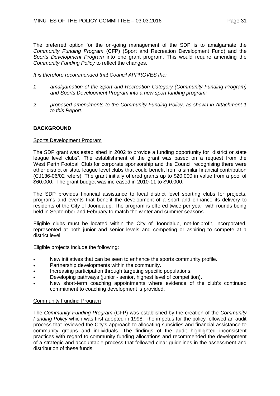The preferred option for the on-going management of the SDP is to amalgamate the *Community Funding Program* (CFP) (Sport and Recreation Development Fund) and the *Sports Development Program* into one grant program. This would require amending the *Community Funding Policy* to reflect the changes.

*It is therefore recommended that Council APPROVES the:*

- *1 amalgamation of the Sport and Recreation Category (Community Funding Program) and Sports Development Program into a new sport funding program;*
- *2 proposed amendments to the Community Funding Policy, as shown in Attachment 1 to this Report.*

# **BACKGROUND**

# Sports Development Program

The SDP grant was established in 2002 to provide a funding opportunity for "district or state league level clubs". The establishment of the grant was based on a request from the West Perth Football Club for corporate sponsorship and the Council recognising there were other district or state league level clubs that could benefit from a similar financial contribution (CJ136-06/02 refers). The grant initially offered grants up to \$20,000 in value from a pool of \$60,000. The grant budget was increased in 2010-11 to \$90,000.

The SDP provides financial assistance to local district level sporting clubs for projects, programs and events that benefit the development of a sport and enhance its delivery to residents of the City of Joondalup. The program is offered twice per year, with rounds being held in September and February to match the winter and summer seasons.

Eligible clubs must be located within the City of Joondalup, not-for-profit, incorporated, represented at both junior and senior levels and competing or aspiring to compete at a district level.

Eligible projects include the following:

- New initiatives that can be seen to enhance the sports community profile.
- Partnership developments within the community.
- Increasing participation through targeting specific populations.
- Developing pathways (junior senior, highest level of competition).
- New short-term coaching appointments where evidence of the club's continued commitment to coaching development is provided.

# Community Funding Program

The *Community Funding Program* (CFP) was established by the creation of the *Community Funding Policy* which was first adopted in 1998. The impetus for the policy followed an audit process that reviewed the City's approach to allocating subsidies and financial assistance to community groups and individuals. The findings of the audit highlighted inconsistent practices with regard to community funding allocations and recommended the development of a strategic and accountable process that followed clear guidelines in the assessment and distribution of these funds.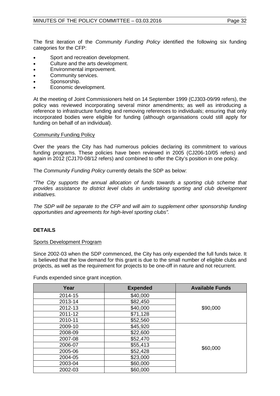The first iteration of the *Community Funding Policy* identified the following six funding categories for the CFP:

- Sport and recreation development.
- Culture and the arts development.
- Environmental improvement.
- Community services.
- Sponsorship.
- Economic development.

At the meeting of Joint Commissioners held on 14 September 1999 (CJ303-09/99 refers), the policy was reviewed incorporating several minor amendments; as well as introducing a reference to infrastructure funding and removing references to individuals; ensuring that only incorporated bodies were eligible for funding (although organisations could still apply for funding on behalf of an individual).

## Community Funding Policy

Over the years the City has had numerous policies declaring its commitment to various funding programs. These policies have been reviewed in 2005 (CJ206-10/05 refers) and again in 2012 (CJ170-08/12 refers) and combined to offer the City's position in one policy.

The *Community Funding Policy* currently details the SDP as below:

*"The City supports the annual allocation of funds towards a sporting club scheme that provides assistance to district level clubs in undertaking sporting and club development initiatives.*

*The SDP will be separate to the CFP and will aim to supplement other sponsorship funding opportunities and agreements for high-level sporting clubs".* 

# **DETAILS**

# Sports Development Program

Since 2002-03 when the SDP commenced, the City has only expended the full funds twice. It is believed that the low demand for this grant is due to the small number of eligible clubs and projects, as well as the requirement for projects to be one-off in nature and not recurrent.

Funds expended since grant inception.

| Year    | <b>Expended</b> | <b>Available Funds</b> |
|---------|-----------------|------------------------|
| 2014-15 | \$40,000        |                        |
| 2013-14 | \$82,450        |                        |
| 2012-13 | \$40,000        | \$90,000               |
| 2011-12 | \$71,128        |                        |
| 2010-11 | \$52,560        |                        |
| 2009-10 | \$45,920        |                        |
| 2008-09 | \$22,600        |                        |
| 2007-08 | \$52,470        |                        |
| 2006-07 | \$55,413        |                        |
| 2005-06 | \$52,428        | \$60,000               |
| 2004-05 | \$23,000        |                        |
| 2003-04 | \$60,000        |                        |
| 2002-03 | \$60,000        |                        |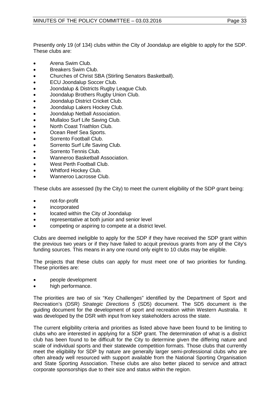Presently only 19 (of 134) clubs within the City of Joondalup are eligible to apply for the SDP. These clubs are:

- Arena Swim Club.
- Breakers Swim Club.
- Churches of Christ SBA (Stirling Senators Basketball).
- ECU Joondalup Soccer Club.
- Joondalup & Districts Rugby League Club.
- Joondalup Brothers Rugby Union Club.
- Joondalup District Cricket Club.
- Joondalup Lakers Hockey Club.
- Joondalup Netball Association.
- Mullaloo Surf Life Saving Club.
- North Coast Triathlon Club.
- Ocean Reef Sea Sports.
- Sorrento Football Club.
- Sorrento Surf Life Saving Club.
- Sorrento Tennis Club.
- Wanneroo Basketball Association.
- West Perth Football Club.
- Whitford Hockey Club.
- Wanneroo Lacrosse Club.

These clubs are assessed (by the City) to meet the current eligibility of the SDP grant being:

- not-for-profit
- incorporated
- located within the City of Joondalup
- representative at both junior and senior level
- competing or aspiring to compete at a district level.

Clubs are deemed ineligible to apply for the SDP if they have received the SDP grant within the previous two years or if they have failed to acquit previous grants from any of the City's funding sources. This means in any one round only eight to 10 clubs may be eligible.

The projects that these clubs can apply for must meet one of two priorities for funding. These priorities are:

- people development
- high performance.

The priorities are two of six "Key Challenges" identified by the Department of Sport and Recreation's (DSR) *Strategic Directions 5* (SD5) document. The SD5 document is the guiding document for the development of sport and recreation within Western Australia. It was developed by the DSR with input from key stakeholders across the state.

The current eligibility criteria and priorities as listed above have been found to be limiting to clubs who are interested in applying for a SDP grant. The determination of what is a district club has been found to be difficult for the City to determine given the differing nature and scale of individual sports and their statewide competition formats. Those clubs that currently meet the eligibility for SDP by nature are generally larger semi-professional clubs who are often already well resourced with support available from the National Sporting Organisation and State Sporting Association. These clubs are also better placed to service and attract corporate sponsorships due to their size and status within the region.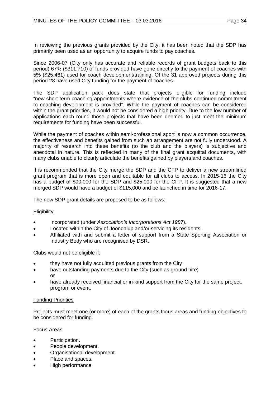In reviewing the previous grants provided by the City, it has been noted that the SDP has primarily been used as an opportunity to acquire funds to pay coaches.

Since 2006-07 (City only has accurate and reliable records of grant budgets back to this period) 67% (\$311,710) of funds provided have gone directly to the payment of coaches with 5% (\$25,461) used for coach development/training. Of the 31 approved projects during this period 28 have used City funding for the payment of coaches.

The SDP application pack does state that projects eligible for funding include "new short-term coaching appointments where evidence of the clubs continued commitment to coaching development is provided". While the payment of coaches can be considered within the grant priorities, it would not be considered a high priority. Due to the low number of applications each round those projects that have been deemed to just meet the minimum requirements for funding have been successful.

While the payment of coaches within semi-professional sport is now a common occurrence, the effectiveness and benefits gained from such an arrangement are not fully understood. A majority of research into these benefits (to the club and the players) is subjective and anecdotal in nature. This is reflected in many of the final grant acquittal documents, with many clubs unable to clearly articulate the benefits gained by players and coaches.

It is recommended that the City merge the SDP and the CFP to deliver a new streamlined grant program that is more open and equitable for all clubs to access. In 2015-16 the City has a budget of \$90,000 for the SDP and \$25,000 for the CFP. It is suggested that a new merged SDP would have a budget of \$115,000 and be launched in time for 2016-17.

The new SDP grant details are proposed to be as follows:

# **Eligibility**

- Incorporated (under *Association's Incorporations Act 1987*).
- Located within the City of Joondalup and/or servicing its residents.
- Affiliated with and submit a letter of support from a State Sporting Association or Industry Body who are recognised by DSR.

Clubs would not be eligible if:

- they have not fully acquitted previous grants from the City
- have outstanding payments due to the City (such as ground hire) or
- have already received financial or in-kind support from the City for the same project, program or event.

# Funding Priorities

Projects must meet one (or more) of each of the grants focus areas and funding objectives to be considered for funding.

Focus Areas:

- Participation.
- People development.
- Organisational development.
- Place and spaces.
- High performance.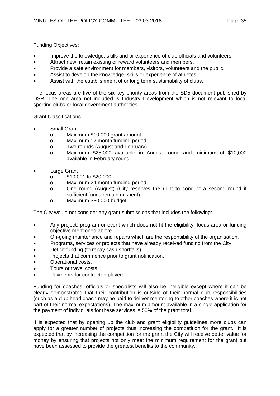Funding Objectives:

- Improve the knowledge, skills and or experience of club officials and volunteers.
- Attract new, retain existing or reward volunteers and members.
- Provide a safe environment for members, visitors, volunteers and the public.
- Assist to develop the knowledge, skills or experience of athletes.
- Assist with the establishment of or long term sustainability of clubs.

The focus areas are five of the six key priority areas from the SD5 document published by DSR. The one area not included is Industry Development which is not relevant to local sporting clubs or local government authorities.

# Grant Classifications

- **Small Grant** 
	- o Maximum \$10,000 grant amount.<br>o Maximum 12 month funding perio
	- o Maximum 12 month funding period.<br>
	o Two rounds (August and February).
	- o Two rounds (August and February).<br>o Maximum \$25.000 available in A
	- Maximum \$25,000 available in August round and minimum of \$10,000 available in February round.
- **Large Grant** 
	-
	- o \$10,001 to \$20,000. o Maximum 24 month funding period.<br>
	o One round (August) (City reserves
	- One round (August) (City reserves the right to conduct a second round if sufficient funds remain unspent).
	- o Maximum \$80,000 budget.

The City would not consider any grant submissions that includes the following:

- Any project, program or event which does not fit the eligibility, focus area or funding objective mentioned above.
- On-going maintenance and repairs which are the responsibility of the organisation.
- Programs, services or projects that have already received funding from the City.
- Deficit funding (to repay cash shortfalls).
- Projects that commence prior to grant notification.
- Operational costs.
- Tours or travel costs.
- Payments for contracted players.

Funding for coaches, officials or specialists will also be ineligible except where it can be clearly demonstrated that their contribution is outside of their normal club responsibilities (such as a club head coach may be paid to deliver mentoring to other coaches where it is not part of their normal expectations). The maximum amount available in a single application for the payment of individuals for these services is 50% of the grant total.

It is expected that by opening up the club and grant eligibility guidelines more clubs can apply for a greater number of projects thus increasing the competition for the grant. It is expected that by increasing the competition for the grant the City will receive better value for money by ensuring that projects not only meet the minimum requirement for the grant but have been assessed to provide the greatest benefits to the community.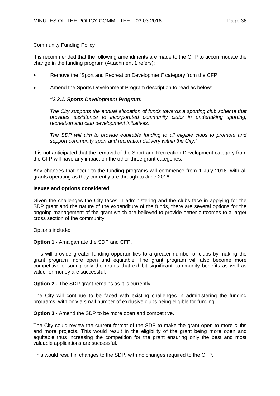# Community Funding Policy

It is recommended that the following amendments are made to the CFP to accommodate the change in the funding program (Attachment 1 refers):

- Remove the "Sport and Recreation Development" category from the CFP.
- Amend the Sports Development Program description to read as below:

# *"2.2.1. Sports Development Program:*

*The City supports the annual allocation of funds towards a sporting club scheme that provides assistance to incorporated community clubs in undertaking sporting, recreation and club development initiatives.*

*The SDP will aim to provide equitable funding to all eligible clubs to promote and support community sport and recreation delivery within the City."*

It is not anticipated that the removal of the Sport and Recreation Development category from the CFP will have any impact on the other three grant categories.

Any changes that occur to the funding programs will commence from 1 July 2016, with all grants operating as they currently are through to June 2016.

## **Issues and options considered**

Given the challenges the City faces in administering and the clubs face in applying for the SDP grant and the nature of the expenditure of the funds, there are several options for the ongoing management of the grant which are believed to provide better outcomes to a larger cross section of the community.

Options include:

**Option 1 -** Amalgamate the SDP and CFP.

This will provide greater funding opportunities to a greater number of clubs by making the grant program more open and equitable. The grant program will also become more competitive ensuring only the grants that exhibit significant community benefits as well as value for money are successful.

**Option 2 -** The SDP grant remains as it is currently.

The City will continue to be faced with existing challenges in administering the funding programs, with only a small number of exclusive clubs being eligible for funding.

**Option 3 -** Amend the SDP to be more open and competitive.

The City could review the current format of the SDP to make the grant open to more clubs and more projects. This would result in the eligibility of the grant being more open and equitable thus increasing the competition for the grant ensuring only the best and most valuable applications are successful.

This would result in changes to the SDP, with no changes required to the CFP.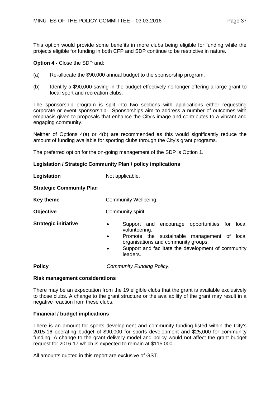This option would provide some benefits in more clubs being eligible for funding while the projects eligible for funding in both CFP and SDP continue to be restrictive in nature.

**Option 4 -** Close the SDP and:

- (a) Re-allocate the \$90,000 annual budget to the sponsorship program.
- (b) Identify a \$90,000 saving in the budget effectively no longer offering a large grant to local sport and recreation clubs.

The sponsorship program is split into two sections with applications either requesting corporate or event sponsorship. Sponsorships aim to address a number of outcomes with emphasis given to proposals that enhance the City's image and contributes to a vibrant and engaging community.

Neither of Options 4(a) or 4(b) are recommended as this would significantly reduce the amount of funding available for sporting clubs through the City's grant programs.

The preferred option for the on-going management of the SDP is Option 1.

# **Legislation / Strategic Community Plan / policy implications**

**Legislation** Not applicable.

**Strategic Community Plan**

**Key theme Community Wellbeing.** 

**Objective** Community spirit.

- **Strategic initiative •** Support and encourage opportunities for local volunteering.
	- Promote the sustainable management of local organisations and community groups.
	- Support and facilitate the development of community leaders.

**Policy** *Community Funding Policy*.

# **Risk management considerations**

There may be an expectation from the 19 eligible clubs that the grant is available exclusively to those clubs. A change to the grant structure or the availability of the grant may result in a negative reaction from these clubs.

# **Financial / budget implications**

There is an amount for sports development and community funding listed within the City's 2015-16 operating budget of \$90,000 for sports development and \$25,000 for community funding. A change to the grant delivery model and policy would not affect the grant budget request for 2016-17 which is expected to remain at \$115,000.

All amounts quoted in this report are exclusive of GST.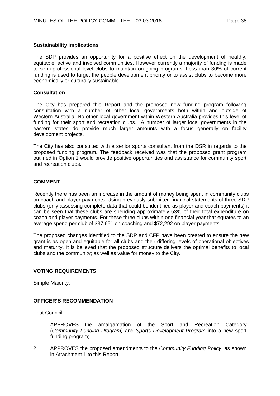## **Sustainability implications**

The SDP provides an opportunity for a positive effect on the development of healthy, equitable, active and involved communities. However currently a majority of funding is made to semi-professional level clubs to maintain on-going programs. Less than 30% of current funding is used to target the people development priority or to assist clubs to become more economically or culturally sustainable.

## **Consultation**

The City has prepared this Report and the proposed new funding program following consultation with a number of other local governments both within and outside of Western Australia. No other local government within Western Australia provides this level of funding for their sport and recreation clubs. A number of larger local governments in the eastern states do provide much larger amounts with a focus generally on facility development projects.

The City has also consulted with a senior sports consultant from the DSR in regards to the proposed funding program. The feedback received was that the proposed grant program outlined in Option 1 would provide positive opportunities and assistance for community sport and recreation clubs.

# **COMMENT**

Recently there has been an increase in the amount of money being spent in community clubs on coach and player payments. Using previously submitted financial statements of three SDP clubs (only assessing complete data that could be identified as player and coach payments) it can be seen that these clubs are spending approximately 53% of their total expenditure on coach and player payments. For these three clubs within one financial year that equates to an average spend per club of \$37,651 on coaching and \$72,292 on player payments.

The proposed changes identified to the SDP and CFP have been created to ensure the new grant is as open and equitable for all clubs and their differing levels of operational objectives and maturity. It is believed that the proposed structure delivers the optimal benefits to local clubs and the community; as well as value for money to the City.

# **VOTING REQUIREMENTS**

Simple Majority.

# **OFFICER'S RECOMMENDATION**

That Council:

- 1 APPROVES the amalgamation of the Sport and Recreation Category (*Community Funding Program)* and *Sports Development Program* into a new sport funding program;
- 2 APPROVES the proposed amendments to the *Community Funding Policy*, as shown in Attachment 1 to this Report.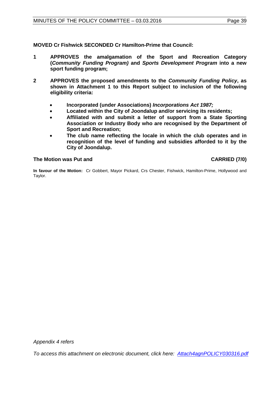**MOVED Cr Fishwick SECONDED Cr Hamilton-Prime that Council:** 

- **1 APPROVES the amalgamation of the Sport and Recreation Category (***Community Funding Program)* **and** *Sports Development Program* **into a new sport funding program;**
- **2 APPROVES the proposed amendments to the** *Community Funding Policy***, as shown in Attachment 1 to this Report subject to inclusion of the following eligibility criteria:**
	- **Incorporated (under Associations)** *Incorporations Act 1987;*
	- **Located within the City of Joondalup and/or servicing its residents;**
	- **Affiliated with and submit a letter of support from a State Sporting Association or Industry Body who are recognised by the Department of Sport and Recreation;**
	- **The club name reflecting the locale in which the club operates and in recognition of the level of funding and subsidies afforded to it by the City of Joondalup.**

**The Motion was Put and CARRIED (7/0)**

**In favour of the Motion:** Cr Gobbert, Mayor Pickard, Crs Chester, Fishwick, Hamilton-Prime, Hollywood and Taylor.

*Appendix 4 refers*

*To access this attachment on electronic document, clic[k here: Attach4agnPOLICY030316.pdf](http://www.joondalup.wa.gov.au/files/committees/POLI/2016/Attach4agnPOLICY030316.pdf)*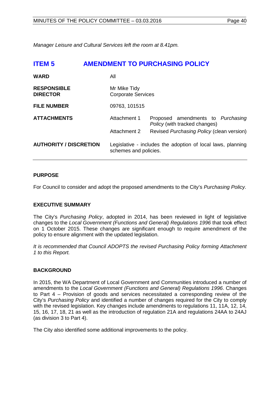<span id="page-39-0"></span>*Manager Leisure and Cultural Services left the room at 8.41pm.* 

| <b>ITEM 5</b>                         |               | <b>AMENDMENT TO PURCHASING POLICY</b>                                                |
|---------------------------------------|---------------|--------------------------------------------------------------------------------------|
| <b>WARD</b>                           | All           |                                                                                      |
| <b>RESPONSIBLE</b><br><b>DIRECTOR</b> | Mr Mike Tidy  | <b>Corporate Services</b>                                                            |
| <b>FILE NUMBER</b>                    | 09763, 101515 |                                                                                      |
| <b>ATTACHMENTS</b>                    | Attachment 1  | Proposed amendments to Purchasing<br>Policy (with tracked changes)                   |
|                                       | Attachment 2  | Revised Purchasing Policy (clean version)                                            |
| <b>AUTHORITY / DISCRETION</b>         |               | Legislative - includes the adoption of local laws, planning<br>schemes and policies. |

# **PURPOSE**

For Council to consider and adopt the proposed amendments to the City's *Purchasing Policy.* 

# **EXECUTIVE SUMMARY**

The City's *Purchasing Policy*, adopted in 2014, has been reviewed in light of legislative changes to the *Local Government (Functions and General) Regulations 1996* that took effect on 1 October 2015. These changes are significant enough to require amendment of the policy to ensure alignment with the updated legislation.

*It is recommended that Council ADOPTS the revised Purchasing Policy forming Attachment 1 to this Report.* 

# **BACKGROUND**

In 2015, the WA Department of Local Government and Communities introduced a number of amendments to the *Local Government (Functions and General) Regulations 1996*. Changes to Part 4 – Provision of goods and services necessitated a corresponding review of the City's *Purchasing Policy* and identified a number of changes required for the City to comply with the revised legislation. Key changes include amendments to regulations 11, 11A, 12, 14, 15, 16, 17, 18, 21 as well as the introduction of regulation 21A and regulations 24AA to 24AJ (as division 3 to Part 4).

The City also identified some additional improvements to the policy.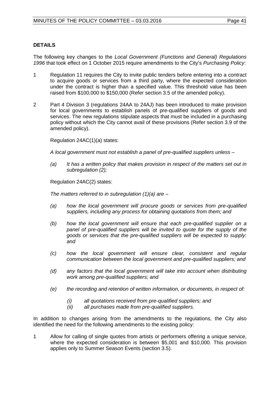# **DETAILS**

The following key changes to the *Local Government (Functions and General) Regulations 1996* that took effect on 1 October 2015 require amendments to the City's *Purchasing Policy*:

- 1 Regulation 11 requires the City to invite public tenders before entering into a contract to acquire goods or services from a third party, where the expected consideration under the contract is higher than a specified value. This threshold value has been raised from \$100,000 to \$150,000 (Refer section 3.5 of the amended policy).
- 2 Part 4 Division 3 (regulations 24AA to 24AJ) has been introduced to make provision for local governments to establish panels of pre-qualified suppliers of goods and services. The new regulations stipulate aspects that must be included in a purchasing policy without which the City cannot avail of these provisions (Refer section 3.9 of the amended policy).

Regulation 24AC(1)(a) states:

*A local government must not establish a panel of pre-qualified suppliers unless –*

*(a) It has a written policy that makes provision in respect of the matters set out in subregulation (2);*

Regulation 24AC(2) states:

*The matters referred to in subregulation (1)(a) are –*

- *(a) how the local government will procure goods or services from pre-qualified suppliers, including any process for obtaining quotations from them; and*
- *(b) how the local government will ensure that each pre-qualified supplier on a*  panel of pre-qualified suppliers will be invited to quote for the supply of the *goods or services that the pre-qualified suppliers will be expected to supply: and*
- *(c) how the local government will ensure clear, consistent and regular communication between the local government and pre-qualified suppliers; and*
- *(d) any factors that the local government will take into account when distributing work among pre-qualified suppliers; and*
- *(e) the recording and retention of written information, or documents, in respect of:*
	- *(i) all quotations received from pre-qualified suppliers; and*
	- *(ii) all purchases made from pre-qualified suppliers.*

In addition to changes arising from the amendments to the regulations, the City also identified the need for the following amendments to the existing policy:

1 Allow for calling of single quotes from artists or performers offering a unique service, where the expected consideration is between \$5,001 and \$10,000. This provision applies only to Summer Season Events (section 3.5).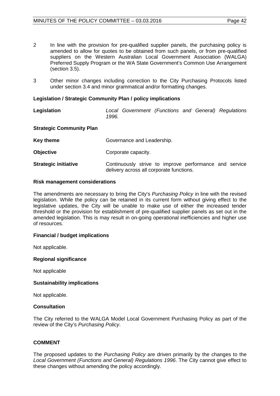- 2 In line with the provision for pre-qualified supplier panels, the purchasing policy is amended to allow for quotes to be obtained from such panels, or from pre-qualified suppliers on the Western Australian Local Government Association (WALGA) Preferred Supply Program or the WA State Government's Common Use Arrangement (section 3.5).
- 3 Other minor changes including correction to the City Purchasing Protocols listed under section 3.4 and minor grammatical and/or formatting changes.

## **Legislation / Strategic Community Plan / policy implications**

**Legislation** *Local Government (Functions and General) Regulations 1996.*

## **Strategic Community Plan**

| Key theme                   | Governance and Leadership.                                                                         |
|-----------------------------|----------------------------------------------------------------------------------------------------|
| <b>Objective</b>            | Corporate capacity.                                                                                |
| <b>Strategic initiative</b> | Continuously strive to improve performance and service<br>delivery across all corporate functions. |

#### **Risk management considerations**

The amendments are necessary to bring the City's *Purchasing Policy* in line with the revised legislation. While the policy can be retained in its current form without giving effect to the legislative updates, the City will be unable to make use of either the increased tender threshold or the provision for establishment of pre-qualified supplier panels as set out in the amended legislation. This is may result in on-going operational inefficiencies and higher use of resources.

## **Financial / budget implications**

Not applicable.

## **Regional significance**

Not applicable

## **Sustainability implications**

Not applicable.

## **Consultation**

The City referred to the WALGA Model Local Government Purchasing Policy as part of the review of the City's *Purchasing Policy*.

## **COMMENT**

The proposed updates to the *Purchasing Policy* are driven primarily by the changes to the *Local Government (Functions and General) Regulations 1996*. The City cannot give effect to these changes without amending the policy accordingly.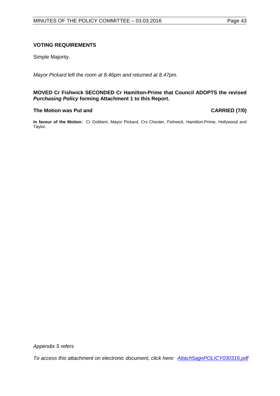# **VOTING REQUIREMENTS**

Simple Majority.

*Mayor Pickard left the room at 8.46pm and returned at 8.47pm.* 

## **MOVED Cr Fishwick SECONDED Cr Hamilton-Prime that Council ADOPTS the revised**  *Purchasing Policy* **forming Attachment 1 to this Report.**

## **The Motion was Put and CARRIED (7/0)**

**In favour of the Motion:** Cr Gobbert, Mayor Pickard, Crs Chester, Fishwick, Hamilton-Prime, Hollywood and Taylor.

*Appendix 5 refers*

*To access this attachment on electronic document, click h[ere: Attach5agnPOLICY030316.pdf](http://www.joondalup.wa.gov.au/files/committees/POLI/2016/Attach5agnPOLICY030316.pdf)*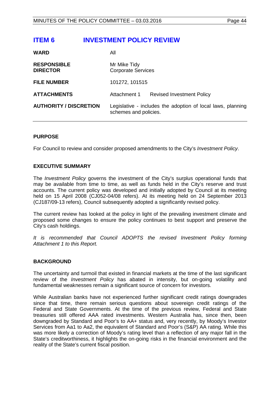# <span id="page-43-0"></span>**ITEM 6 INVESTMENT POLICY REVIEW**

| <b>WARD</b>                           | All                                       |                                                             |
|---------------------------------------|-------------------------------------------|-------------------------------------------------------------|
| <b>RESPONSIBLE</b><br><b>DIRECTOR</b> | Mr Mike Tidy<br><b>Corporate Services</b> |                                                             |
| <b>FILE NUMBER</b>                    | 101272, 101515                            |                                                             |
| <b>ATTACHMENTS</b>                    | Attachment 1                              | <b>Revised Investment Policy</b>                            |
| <b>AUTHORITY / DISCRETION</b>         | schemes and policies.                     | Legislative - includes the adoption of local laws, planning |

# **PURPOSE**

For Council to review and consider proposed amendments to the City's *Investment Policy*.

## **EXECUTIVE SUMMARY**

The *Investment Policy* governs the investment of the City's surplus operational funds that may be available from time to time, as well as funds held in the City's reserve and trust accounts. The current policy was developed and initially adopted by Council at its meeting held on 15 April 2008 (CJ052-04/08 refers). At its meeting held on 24 September 2013 (CJ187/09-13 refers), Council subsequently adopted a significantly revised policy.

The current review has looked at the policy in light of the prevailing investment climate and proposed some changes to ensure the policy continues to best support and preserve the City's cash holdings.

*It is recommended that Council ADOPTS the revised Investment Policy forming Attachment 1 to this Report.* 

# **BACKGROUND**

The uncertainty and turmoil that existed in financial markets at the time of the last significant review of the *Investment Policy* has abated in intensity, but on-going volatility and fundamental weaknesses remain a significant source of concern for investors.

While Australian banks have not experienced further significant credit ratings downgrades since that time, there remain serious questions about sovereign credit ratings of the Federal and State Governments. At the time of the previous review, Federal and State treasuries still offered AAA rated investments. Western Australia has, since then, been downgraded by Standard and Poor's to AA+ status and, very recently, by Moody's Investor Services from Aa1 to Aa2, the equivalent of Standard and Poor's (S&P) AA rating. While this was more likely a correction of Moody's rating level than a reflection of any major fall in the State's creditworthiness, it highlights the on-going risks in the financial environment and the reality of the State's current fiscal position.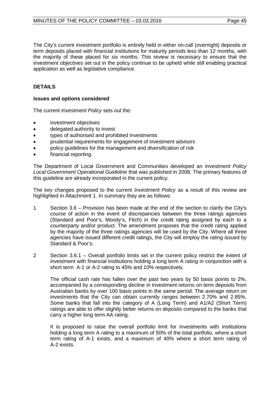The City's current investment portfolio is entirely held in either on-call (overnight) deposits or term deposits placed with financial institutions for maturity periods less than 12 months, with the majority of these placed for six months. This review is necessary to ensure that the investment objectives set out in the policy continue to be upheld while still enabling practical application as well as legislative compliance.

# **DETAILS**

# **Issues and options considered**

The current *Investment Policy* sets out the:

- investment objectives
- delegated authority to invest
- types of authorised and prohibited investments
- prudential requirements for engagement of investment advisors
- policy guidelines for the management and diversification of risk
- financial reporting.

The Department of Local Government and Communities developed an *Investment Policy Local Government Operational Guideline* that was published in 2008. The primary features of this guideline are already incorporated in the current policy.

The key changes proposed to the current *Investment Policy* as a result of this review are highlighted in Attachment 1. In summary they are as follows:

- 1 Section 3.6 Provision has been made at the end of the section to clarify the City's course of action in the event of discrepancies between the three ratings agencies (Standard and Poor's, Moody's, Fitch) in the credit rating assigned by each to a counterparty and/or product. The amendment proposes that the credit rating applied by the majority of the three ratings agencies will be used by the City. Where all three agencies have issued different credit ratings, the City will employ the rating issued by Standard & Poor's.
- 2 Section 3.6.1 Overall portfolio limits set in the current policy restrict the extent of investment with financial institutions holding a long term A rating in conjunction with a short term A-1 or A-2 rating to 45% and 10% respectively.

The official cash rate has fallen over the past two years by 50 basis points to 2%, accompanied by a corresponding decline in investment returns on term deposits from Australian banks by over 100 basis points in the same period. The average return on investments that the City can obtain currently ranges between 2.70% and 2.85%. Some banks that fall into the category of A (Long Term) and A1/A2 (Short Term) ratings are able to offer slightly better returns on deposits compared to the banks that carry a higher long term AA rating.

It is proposed to raise the overall portfolio limit for investments with institutions holding a long term A rating to a maximum of 50% of the total portfolio, where a short term rating of A-1 exists, and a maximum of 40% where a short term rating of A-2 exists.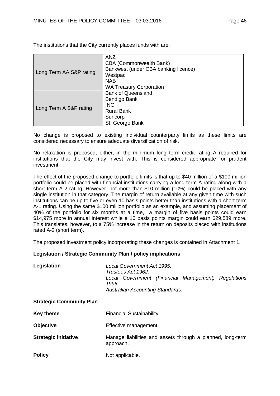| Long Term AA S&P rating | <b>ANZ</b>                           |
|-------------------------|--------------------------------------|
|                         | <b>CBA (Commonwealth Bank)</b>       |
|                         | Bankwest (under CBA banking licence) |
|                         | Westpac                              |
|                         | <b>NAB</b>                           |
|                         | <b>WA Treasury Corporation</b>       |
| Long Term A S&P rating  | <b>Bank of Queensland</b>            |
|                         | Bendigo Bank                         |
|                         | <b>ING</b>                           |
|                         | <b>Rural Bank</b>                    |
|                         | Suncorp                              |
|                         | St. George Bank                      |

The institutions that the City currently places funds with are:

No change is proposed to existing individual counterparty limits as these limits are considered necessary to ensure adequate diversification of risk.

No relaxation is proposed, either, in the minimum long term credit rating A required for institutions that the City may invest with. This is considered appropriate for prudent investment.

The effect of the proposed change to portfolio limits is that up to \$40 million of a \$100 million portfolio could be placed with financial institutions carrying a long term A rating along with a short term A-2 rating. However, not more than \$10 million (10%) could be placed with any single institution in that category. The margin of return available at any given time with such institutions can be up to five or even 10 basis points better than institutions with a short term A-1 rating. Using the same \$100 million portfolio as an example, and assuming placement of 40% of the portfolio for six months at a time, a margin of five basis points could earn \$14,975 more in annual interest while a 10 basis points margin could earn \$29,589 more. This translates, however, to a 75% increase in the return on deposits placed with institutions rated A-2 (short term).

The proposed investment policy incorporating these changes is contained in Attachment 1.

## **Legislation / Strategic Community Plan / policy implications**

| Legislation                     | Local Government Act 1995.<br>Trustees Act 1962.<br>Local Government (Financial Management) Regulations<br>1996.<br>Australian Accounting Standards. |
|---------------------------------|------------------------------------------------------------------------------------------------------------------------------------------------------|
| <b>Strategic Community Plan</b> |                                                                                                                                                      |
| <b>Key theme</b>                | Financial Sustainability.                                                                                                                            |
| <b>Objective</b>                | Effective management.                                                                                                                                |
| <b>Strategic initiative</b>     | Manage liabilities and assets through a planned, long-term<br>approach.                                                                              |
| <b>Policy</b>                   | Not applicable.                                                                                                                                      |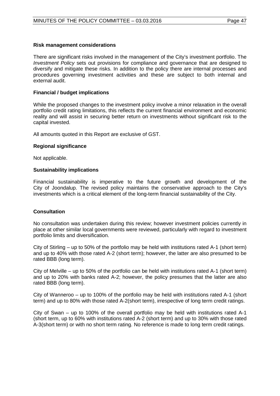## **Risk management considerations**

There are significant risks involved in the management of the City's investment portfolio. The *Investment Policy* sets out provisions for compliance and governance that are designed to diversify and mitigate these risks. In addition to the policy there are internal processes and procedures governing investment activities and these are subject to both internal and external audit.

## **Financial / budget implications**

While the proposed changes to the investment policy involve a minor relaxation in the overall portfolio credit rating limitations, this reflects the current financial environment and economic reality and will assist in securing better return on investments without significant risk to the capital invested.

All amounts quoted in this Report are exclusive of GST.

## **Regional significance**

Not applicable.

## **Sustainability implications**

Financial sustainability is imperative to the future growth and development of the City of Joondalup. The revised policy maintains the conservative approach to the City's investments which is a critical element of the long-term financial sustainability of the City.

# **Consultation**

No consultation was undertaken during this review; however investment policies currently in place at other similar local governments were reviewed, particularly with regard to investment portfolio limits and diversification.

City of Stirling – up to 50% of the portfolio may be held with institutions rated A-1 (short term) and up to 40% with those rated A-2 (short term); however, the latter are also presumed to be rated BBB (long term).

City of Melville – up to 50% of the portfolio can be held with institutions rated A-1 (short term) and up to 20% with banks rated A-2; however, the policy presumes that the latter are also rated BBB (long term).

City of Wanneroo – up to 100% of the portfolio may be held with institutions rated A-1 (short term) and up to 80% with those rated A-2(short term), irrespective of long term credit ratings.

City of Swan – up to 100% of the overall portfolio may be held with institutions rated A-1 (short term, up to 60% with institutions rated A-2 (short term) and up to 30% with those rated A-3(short term) or with no short term rating. No reference is made to long term credit ratings.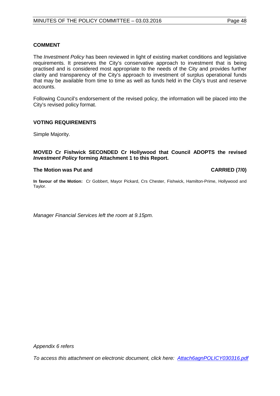The *Investment Policy* has been reviewed in light of existing market conditions and legislative requirements. It preserves the City's conservative approach to investment that is being practised and is considered most appropriate to the needs of the City and provides further clarity and transparency of the City's approach to investment of surplus operational funds that may be available from time to time as well as funds held in the City's trust and reserve accounts.

Following Council's endorsement of the revised policy, the information will be placed into the City's revised policy format.

## **VOTING REQUIREMENTS**

Simple Majority.

## **MOVED Cr Fishwick SECONDED Cr Hollywood that Council ADOPTS the revised**  *Investment Policy* **forming Attachment 1 to this Report.**

#### **The Motion was Put and CARRIED (7/0)**

**In favour of the Motion:** Cr Gobbert, Mayor Pickard, Crs Chester, Fishwick, Hamilton-Prime, Hollywood and Taylor.

*Manager Financial Services left the room at 9.15pm.*

*Appendix 6 refers*

*To access this attachment on electronic document, click [here: Attach6agnPOLICY030316.pdf](http://www.joondalup.wa.gov.au/files/committees/POLI/2016/Attach6agnPOLICY030316.pdf)*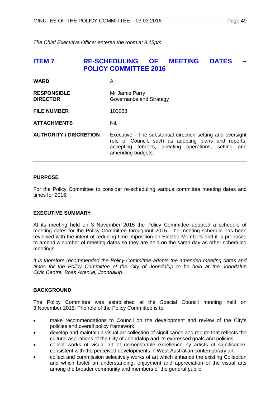*The Chief Executive Officer entered the room at 9.15pm.*

# <span id="page-48-0"></span>**ITEM 7 RE-SCHEDULING OF MEETING DATES – POLICY COMMITTEE 2016**

| <b>WARD</b>                           | All                                                                                                                                                                                              |
|---------------------------------------|--------------------------------------------------------------------------------------------------------------------------------------------------------------------------------------------------|
| <b>RESPONSIBLE</b><br><b>DIRECTOR</b> | Mr Jamie Parry<br>Governance and Strategy                                                                                                                                                        |
| <b>FILE NUMBER</b>                    | 103963                                                                                                                                                                                           |
| <b>ATTACHMENTS</b>                    | Nil.                                                                                                                                                                                             |
| <b>AUTHORITY / DISCRETION</b>         | Executive - The substantial direction setting and oversight<br>role of Council, such as adopting plans and reports,<br>accepting tenders, directing operations, setting and<br>amending budgets. |

# **PURPOSE**

For the Policy Committee to consider re-scheduling various committee meeting dates and times for 2016.

# **EXECUTIVE SUMMARY**

At its meeting held on 3 November 2015 the Policy Committee adopted a schedule of meeting dates for the Policy Committee throughout 2016. The meeting schedule has been reviewed with the intent of reducing time imposition on Elected Members and it is proposed to amend a number of meeting dates so they are held on the same day as other scheduled meetings.

*It is therefore recommended the Policy Committee adopts the amended meeting dates and times for the Policy Committee of the City of Joondalup to be held at the Joondalup Civic Centre, Boas Avenue, Joondalup.*

# **BACKGROUND**

The Policy Committee was established at the Special Council meeting held on 3 November 2015. The role of the Policy Committee is to:

- make recommendations to Council on the development and review of the City's policies and overall policy framework
- develop and maintain a visual art collection of significance and repute that reflects the cultural aspirations of the City of Joondalup and its expressed goals and policies
- collect works of visual art of demonstrable excellence by artists of significance, consistent with the perceived developments in West Australian contemporary art
- collect and commission selectively works of art which enhance the existing Collection and which foster an understanding, enjoyment and appreciation of the visual arts among the broader community and members of the general public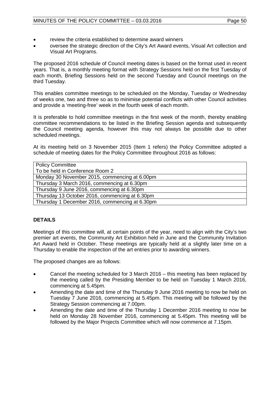- review the criteria established to determine award winners
- oversee the strategic direction of the City's Art Award events, Visual Art collection and Visual Art Programs.

The proposed 2016 schedule of Council meeting dates is based on the format used in recent years. That is, a monthly meeting format with Strategy Sessions held on the first Tuesday of each month, Briefing Sessions held on the second Tuesday and Council meetings on the third Tuesday.

This enables committee meetings to be scheduled on the Monday, Tuesday or Wednesday of weeks one, two and three so as to minimise potential conflicts with other Council activities and provide a 'meeting-free' week in the fourth week of each month.

It is preferable to hold committee meetings in the first week of the month, thereby enabling committee recommendations to be listed in the Briefing Session agenda and subsequently the Council meeting agenda, however this may not always be possible due to other scheduled meetings.

At its meeting held on 3 November 2015 (Item 1 refers) the Policy Committee adopted a schedule of meeting dates for the Policy Committee throughout 2016 as follows:

| <b>Policy Committee</b>                        |
|------------------------------------------------|
| To be held in Conference Room 2                |
| Monday 30 November 2015, commencing at 6.00pm  |
| Thursday 3 March 2016, commencing at 6.30pm    |
| Thursday 9 June 2016, commencing at 6.30pm     |
| Thursday 13 October 2016, commencing at 6.30pm |
| Thursday 1 December 2016, commencing at 6.30pm |

# **DETAILS**

Meetings of this committee will, at certain points of the year, need to align with the City's two premier art events, the Community Art Exhibition held in June and the Community Invitation Art Award held in October. These meetings are typically held at a slightly later time on a Thursday to enable the inspection of the art entries prior to awarding winners.

The proposed changes are as follows:

- Cancel the meeting scheduled for 3 March 2016 this meeting has been replaced by the meeting called by the Presiding Member to be held on Tuesday 1 March 2016, commencing at 5.45pm.
- Amending the date and time of the Thursday 9 June 2016 meeting to now be held on Tuesday 7 June 2016, commencing at 5.45pm. This meeting will be followed by the Strategy Session commencing at 7.00pm.
- Amending the date and time of the Thursday 1 December 2016 meeting to now be held on Monday 28 November 2016, commencing at 5.45pm. This meeting will be followed by the Major Projects Committee which will now commence at 7.15pm.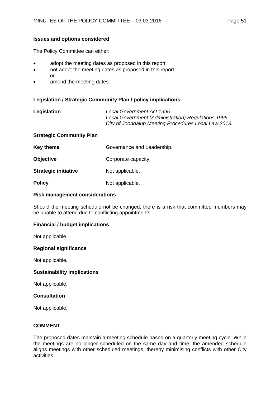# **Issues and options considered**

The Policy Committee can either:

- adopt the meeting dates as proposed in this report
- not adopt the meeting dates as proposed in this report or
- amend the meeting dates.

# **Legislation / Strategic Community Plan / policy implications**

| Legislation | Local Government Act 1995.                           |
|-------------|------------------------------------------------------|
|             | Local Government (Administration) Regulations 1996.  |
|             | City of Joondalup Meeting Procedures Local Law 2013. |
|             |                                                      |

# **Strategic Community Plan**

| <b>Key theme</b> | Governance and Leadership. |
|------------------|----------------------------|
|------------------|----------------------------|

- **Objective Corporate capacity.**
- **Strategic initiative** Not applicable.
- **Policy** Not applicable.

# **Risk management considerations**

Should the meeting schedule not be changed, there is a risk that committee members may be unable to attend due to conflicting appointments.

# **Financial / budget implications**

Not applicable.

## **Regional significance**

Not applicable.

## **Sustainability implications**

Not applicable.

## **Consultation**

Not applicable.

# **COMMENT**

The proposed dates maintain a meeting schedule based on a quarterly meeting cycle. While the meetings are no longer scheduled on the same day and time, the amended schedule aligns meetings with other scheduled meetings, thereby minimising conflicts with other City activities.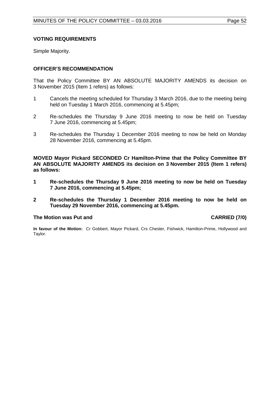# **VOTING REQUIREMENTS**

Simple Majority.

# **OFFICER'S RECOMMENDATION**

That the Policy Committee BY AN ABSOLUTE MAJORITY AMENDS its decision on 3 November 2015 (Item 1 refers) as follows:

- 1 Cancels the meeting scheduled for Thursday 3 March 2016, due to the meeting being held on Tuesday 1 March 2016, commencing at 5.45pm;
- 2 Re-schedules the Thursday 9 June 2016 meeting to now be held on Tuesday 7 June 2016, commencing at 5.45pm;
- 3 Re-schedules the Thursday 1 December 2016 meeting to now be held on Monday 28 November 2016, commencing at 5.45pm.

**MOVED Mayor Pickard SECONDED Cr Hamilton-Prime that the Policy Committee BY AN ABSOLUTE MAJORITY AMENDS its decision on 3 November 2015 (Item 1 refers) as follows:**

- **1 Re-schedules the Thursday 9 June 2016 meeting to now be held on Tuesday 7 June 2016, commencing at 5.45pm;**
- **2 Re-schedules the Thursday 1 December 2016 meeting to now be held on Tuesday 29 November 2016, commencing at 5.45pm.**

## **The Motion was Put and CARRIED (7/0)**

**In favour of the Motion:** Cr Gobbert, Mayor Pickard, Crs Chester, Fishwick, Hamilton-Prime, Hollywood and Taylor.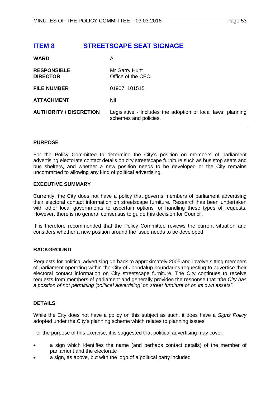# <span id="page-52-0"></span>**ITEM 8 STREETSCAPE SEAT SIGNAGE**

| <b>WARD</b>                           | All                                                                                  |
|---------------------------------------|--------------------------------------------------------------------------------------|
| <b>RESPONSIBLE</b><br><b>DIRECTOR</b> | Mr Garry Hunt<br>Office of the CEO                                                   |
| <b>FILE NUMBER</b>                    | 01907, 101515                                                                        |
| <b>ATTACHMENT</b>                     | Nil                                                                                  |
| <b>AUTHORITY / DISCRETION</b>         | Legislative - includes the adoption of local laws, planning<br>schemes and policies. |

## **PURPOSE**

For the Policy Committee to determine the City's position on members of parliament advertising electorate contact details on city streetscape furniture such as bus stop seats and bus shelters, and whether a new position needs to be developed or the City remains uncommitted to allowing any kind of political advertising.

## **EXECUTIVE SUMMARY**

Currently, the City does not have a policy that governs members of parliament advertising their electoral contact information on streetscape furniture. Research has been undertaken with other local governments to ascertain options for handling these types of requests. However, there is no general consensus to guide this decision for Council.

It is therefore recommended that the Policy Committee reviews the current situation and considers whether a new position around the issue needs to be developed.

# **BACKGROUND**

Requests for political advertising go back to approximately 2005 and involve sitting members of parliament operating within the City of Joondalup boundaries requesting to advertise their electoral contact information on City streetscape furniture. The City continues to receive requests from members of parliament and generally provides the response that *"the City has a position of not permitting 'political advertising' on street furniture or on its own assets"*.

# **DETAILS**

While the City does not have a policy on this subject as such, it does have a *Signs Policy* adopted under the City's planning scheme which relates to planning issues.

For the purpose of this exercise, it is suggested that political advertising may cover:

- a sign which identifies the name (and perhaps contact details) of the member of parliament and the electorate
- a sign, as above, but with the logo of a political party included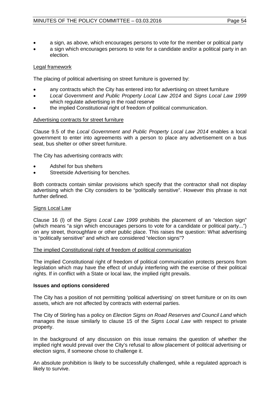- a sign, as above, which encourages persons to vote for the member or political party
- a sign which encourages persons to vote for a candidate and/or a political party in an election.

# Legal framework

The placing of political advertising on street furniture is governed by:

- any contracts which the City has entered into for advertising on street furniture
- *Local Government and Public Property Local Law 2014* and *Signs Local Law 1999* which regulate advertising in the road reserve
- the implied Constitutional right of freedom of political communication.

# Advertising contracts for street furniture

Clause 9.5 of the *Local Government and Public Property Local Law 2014* enables a local government to enter into agreements with a person to place any advertisement on a bus seat, bus shelter or other street furniture.

The City has advertising contracts with:

- Adshel for bus shelters
- Streetside Advertising for benches.

Both contracts contain similar provisions which specify that the contractor shall not display advertising which the City considers to be "politically sensitive". However this phrase is not further defined.

# Signs Local Law

Clause 16 (l) of the *Signs Local Law 1999* prohibits the placement of an "election sign" (which means "a sign which encourages persons to vote for a candidate or political party...") on any street, thoroughfare or other public place. This raises the question: What advertising is "politically sensitive" and which are considered "election signs"?

# The implied Constitutional right of freedom of political communication

The implied Constitutional right of freedom of political communication protects persons from legislation which may have the effect of unduly interfering with the exercise of their political rights. If in conflict with a State or local law, the implied right prevails.

# **Issues and options considered**

The City has a position of not permitting 'political advertising' on street furniture or on its own assets, which are not affected by contracts with external parties.

The City of Stirling has a policy on *Election Signs on Road Reserves and Council Land* which manages the issue similarly to clause 15 of the *Signs Local Law* with respect to private property.

In the background of any discussion on this issue remains the question of whether the implied right would prevail over the City's refusal to allow placement of political advertising or election signs, if someone chose to challenge it.

An absolute prohibition is likely to be successfully challenged, while a regulated approach is likely to survive.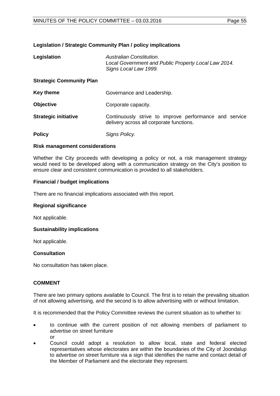# **Legislation / Strategic Community Plan / policy implications**

| Legislation                     | Australian Constitution.<br>Local Government and Public Property Local Law 2014.<br>Signs Local Law 1999. |
|---------------------------------|-----------------------------------------------------------------------------------------------------------|
| <b>Strategic Community Plan</b> |                                                                                                           |
| <b>Key theme</b>                | Governance and Leadership.                                                                                |
| <b>Objective</b>                | Corporate capacity.                                                                                       |
| <b>Strategic initiative</b>     | Continuously strive to improve performance and service<br>delivery across all corporate functions.        |
| <b>Policy</b>                   | Signs Policy.                                                                                             |

## **Risk management considerations**

Whether the City proceeds with developing a policy or not, a risk management strategy would need to be developed along with a communication strategy on the City's position to ensure clear and consistent communication is provided to all stakeholders.

## **Financial / budget implications**

There are no financial implications associated with this report.

## **Regional significance**

Not applicable.

# **Sustainability implications**

Not applicable.

# **Consultation**

No consultation has taken place.

# **COMMENT**

There are two primary options available to Council. The first is to retain the prevailing situation of not allowing advertising, and the second is to allow advertising with or without limitation.

It is recommended that the Policy Committee reviews the current situation as to whether to:

- to continue with the current position of not allowing members of parliament to advertise on street furniture or
- Council could adopt a resolution to allow local, state and federal elected representatives whose electorates are within the boundaries of the City of Joondalup to advertise on street furniture via a sign that identifies the name and contact detail of the Member of Parliament and the electorate they represent.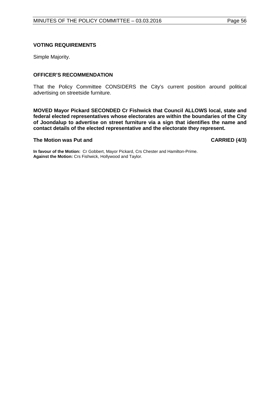## **VOTING REQUIREMENTS**

Simple Majority.

## **OFFICER'S RECOMMENDATION**

That the Policy Committee CONSIDERS the City's current position around political advertising on streetside furniture.

**MOVED Mayor Pickard SECONDED Cr Fishwick that Council ALLOWS local, state and federal elected representatives whose electorates are within the boundaries of the City of Joondalup to advertise on street furniture via a sign that identifies the name and contact details of the elected representative and the electorate they represent.**

## **The Motion was Put and CARRIED (4/3)**

**In favour of the Motion:** Cr Gobbert, Mayor Pickard, Crs Chester and Hamilton-Prime. **Against the Motion:** Crs Fishwick, Hollywood and Taylor.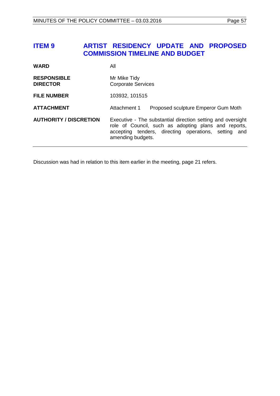# <span id="page-56-0"></span>**ITEM 9 ARTIST RESIDENCY UPDATE AND PROPOSED COMMISSION TIMELINE AND BUDGET**

| <b>WARD</b>                           | All                                                                                                                                                                                              |
|---------------------------------------|--------------------------------------------------------------------------------------------------------------------------------------------------------------------------------------------------|
| <b>RESPONSIBLE</b><br><b>DIRECTOR</b> | Mr Mike Tidy<br><b>Corporate Services</b>                                                                                                                                                        |
| <b>FILE NUMBER</b>                    | 103932, 101515                                                                                                                                                                                   |
| <b>ATTACHMENT</b>                     | Attachment 1<br>Proposed sculpture Emperor Gum Moth                                                                                                                                              |
| <b>AUTHORITY / DISCRETION</b>         | Executive - The substantial direction setting and oversight<br>role of Council, such as adopting plans and reports,<br>accepting tenders, directing operations, setting and<br>amending budgets. |

<span id="page-56-1"></span>Discussion was had in relation to this item earlier in the meeting, page [21](#page-20-0) refers.